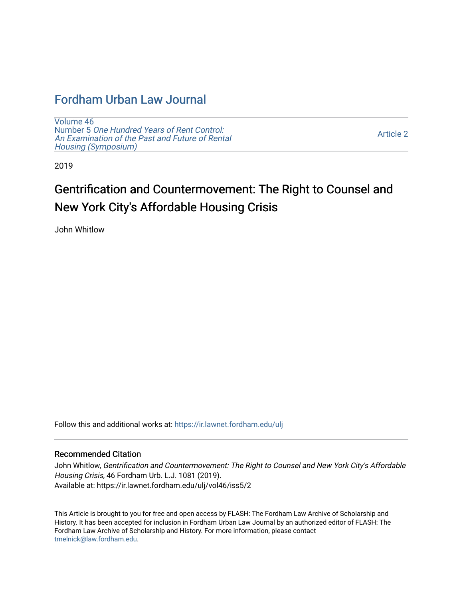## [Fordham Urban Law Journal](https://ir.lawnet.fordham.edu/ulj)

[Volume 46](https://ir.lawnet.fordham.edu/ulj/vol46) Number 5 [One Hundred Years of Rent Control:](https://ir.lawnet.fordham.edu/ulj/vol46/iss5)  [An Examination of the Past and Future of Rental](https://ir.lawnet.fordham.edu/ulj/vol46/iss5)  [Housing \(Symposium\)](https://ir.lawnet.fordham.edu/ulj/vol46/iss5) 

[Article 2](https://ir.lawnet.fordham.edu/ulj/vol46/iss5/2) 

2019

# Gentrification and Countermovement: The Right to Counsel and New York City's Affordable Housing Crisis

John Whitlow

Follow this and additional works at: [https://ir.lawnet.fordham.edu/ulj](https://ir.lawnet.fordham.edu/ulj?utm_source=ir.lawnet.fordham.edu%2Fulj%2Fvol46%2Fiss5%2F2&utm_medium=PDF&utm_campaign=PDFCoverPages) 

#### Recommended Citation

John Whitlow, Gentrification and Countermovement: The Right to Counsel and New York City's Affordable Housing Crisis, 46 Fordham Urb. L.J. 1081 (2019). Available at: https://ir.lawnet.fordham.edu/ulj/vol46/iss5/2

This Article is brought to you for free and open access by FLASH: The Fordham Law Archive of Scholarship and History. It has been accepted for inclusion in Fordham Urban Law Journal by an authorized editor of FLASH: The Fordham Law Archive of Scholarship and History. For more information, please contact [tmelnick@law.fordham.edu](mailto:tmelnick@law.fordham.edu).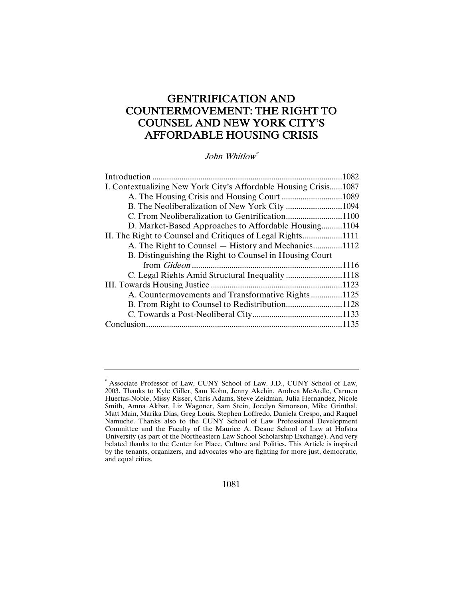### GENTRIFICATION AND COUNTERMOVEMENT: THE RIGHT TO COUNSEL AND NEW YORK CITY'S AFFORDABLE HOUSING CRISIS

John Whitlow\*

|                                                                  | 1082  |
|------------------------------------------------------------------|-------|
| I. Contextualizing New York City's Affordable Housing Crisis1087 |       |
|                                                                  |       |
|                                                                  |       |
|                                                                  |       |
| D. Market-Based Approaches to Affordable Housing1104             |       |
|                                                                  |       |
| A. The Right to Counsel — History and Mechanics1112              |       |
| B. Distinguishing the Right to Counsel in Housing Court          |       |
|                                                                  | .1116 |
| C. Legal Rights Amid Structural Inequality 1118                  |       |
|                                                                  |       |
| A. Countermovements and Transformative Rights1125                |       |
| B. From Right to Counsel to Redistribution1128                   |       |
|                                                                  |       |
|                                                                  |       |
|                                                                  |       |

<sup>\*</sup> Associate Professor of Law, CUNY School of Law. J.D., CUNY School of Law, 2003. Thanks to Kyle Giller, Sam Kohn, Jenny Akchin, Andrea McArdle, Carmen Huertas-Noble, Missy Risser, Chris Adams, Steve Zeidman, Julia Hernandez, Nicole Smith, Amna Akbar, Liz Wagoner, Sam Stein, Jocelyn Simonson, Mike Grinthal, Matt Main, Marika Dias, Greg Louis, Stephen Loffredo, Daniela Crespo, and Raquel Namuche. Thanks also to the CUNY School of Law Professional Development Committee and the Faculty of the Maurice A. Deane School of Law at Hofstra University (as part of the Northeastern Law School Scholarship Exchange). And very belated thanks to the Center for Place, Culture and Politics. This Article is inspired by the tenants, organizers, and advocates who are fighting for more just, democratic, and equal cities.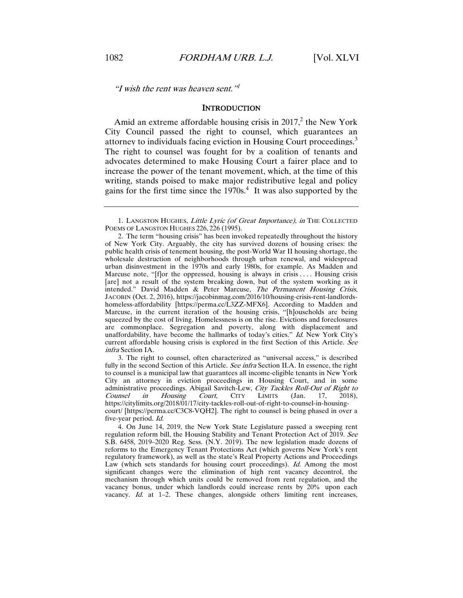"I wish the rent was heaven sent." $\frac{1}{1}$ 

#### **INTRODUCTION**

Amid an extreme affordable housing crisis in  $2017<sup>2</sup>$ , the New York City Council passed the right to counsel, which guarantees an attorney to individuals facing eviction in Housing Court proceedings.<sup>3</sup> The right to counsel was fought for by a coalition of tenants and advocates determined to make Housing Court a fairer place and to increase the power of the tenant movement, which, at the time of this writing, stands poised to make major redistributive legal and policy gains for the first time since the  $1970s<sup>4</sup>$ . It was also supported by the

 3. The right to counsel, often characterized as "universal access," is described fully in the second Section of this Article. See infra Section II.A. In essence, the right to counsel is a municipal law that guarantees all income-eligible tenants in New York City an attorney in eviction proceedings in Housing Court, and in some administrative proceedings. Abigail Savitch-Lew, City Tackles Roll-Out of Right to Counsel in Housing Court, CITY LIMITS (Jan. 17, 2018), Counsel in Housing Court, CITY LIMITS (Jan. 17, 2018), https://citylimits.org/2018/01/17/city-tackles-roll-out-of-right-to-counsel-in-housingcourt/ [https://perma.cc/C3C8-VQH2]. The right to counsel is being phased in over a five-year period. Id.

 4. On June 14, 2019, the New York State Legislature passed a sweeping rent regulation reform bill, the Housing Stability and Tenant Protection Act of 2019. See S.B. 6458, 2019–2020 Reg. Sess. (N.Y. 2019). The new legislation made dozens of reforms to the Emergency Tenant Protections Act (which governs New York's rent regulatory framework), as well as the state's Real Property Actions and Proceedings Law (which sets standards for housing court proceedings). Id. Among the most significant changes were the elimination of high rent vacancy decontrol, the mechanism through which units could be removed from rent regulation, and the vacancy bonus, under which landlords could increase rents by 20% upon each vacancy. Id. at 1-2. These changes, alongside others limiting rent increases,

<sup>1.</sup> LANGSTON HUGHES, Little Lyric (of Great Importance), in THE COLLECTED POEMS OF LANGSTON HUGHES 226, 226 (1995).

 <sup>2.</sup> The term "housing crisis" has been invoked repeatedly throughout the history of New York City. Arguably, the city has survived dozens of housing crises: the public health crisis of tenement housing, the post-World War II housing shortage, the wholesale destruction of neighborhoods through urban renewal, and widespread urban disinvestment in the 1970s and early 1980s, for example. As Madden and Marcuse note, "[f]or the oppressed, housing is always in crisis .... Housing crisis [are] not a result of the system breaking down, but of the system working as it intended." David Madden & Peter Marcuse, The Permanent Housing Crisis, JACOBIN (Oct. 2, 2016), https://jacobinmag.com/2016/10/housing-crisis-rent-landlordshomeless-affordability [https://perma.cc/L3ZZ-MFX6]. According to Madden and Marcuse, in the current iteration of the housing crisis, "[h]ouseholds are being squeezed by the cost of living. Homelessness is on the rise. Evictions and foreclosures are commonplace. Segregation and poverty, along with displacement and unaffordability, have become the hallmarks of today's cities." Id. New York City's current affordable housing crisis is explored in the first Section of this Article. See infra Section IA.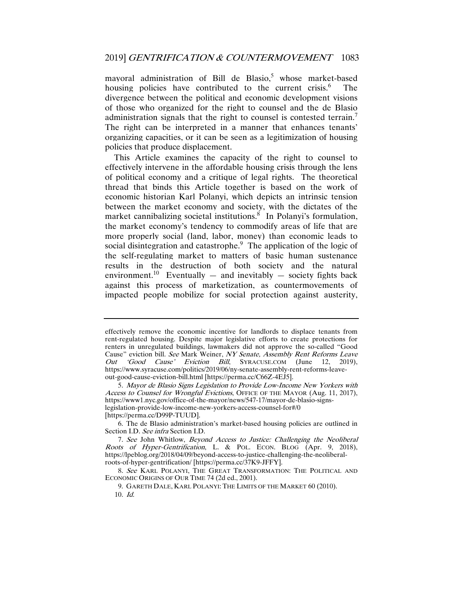mayoral administration of Bill de Blasio,<sup>5</sup> whose market-based housing policies have contributed to the current crisis.<sup>6</sup> The divergence between the political and economic development visions of those who organized for the right to counsel and the de Blasio administration signals that the right to counsel is contested terrain.<sup>7</sup> The right can be interpreted in a manner that enhances tenants' organizing capacities, or it can be seen as a legitimization of housing policies that produce displacement.

This Article examines the capacity of the right to counsel to effectively intervene in the affordable housing crisis through the lens of political economy and a critique of legal rights. The theoretical thread that binds this Article together is based on the work of economic historian Karl Polanyi, which depicts an intrinsic tension between the market economy and society, with the dictates of the market cannibalizing societal institutions.<sup>8</sup> In Polanyi's formulation, the market economy's tendency to commodify areas of life that are more properly social (land, labor, money) than economic leads to social disintegration and catastrophe.<sup>9</sup> The application of the logic of the self-regulating market to matters of basic human sustenance results in the destruction of both society and the natural environment.<sup>10</sup> Eventually — and inevitably — society fights back against this process of marketization, as countermovements of impacted people mobilize for social protection against austerity,

effectively remove the economic incentive for landlords to displace tenants from rent-regulated housing. Despite major legislative efforts to create protections for renters in unregulated buildings, lawmakers did not approve the so-called "Good Cause" eviction bill. See Mark Weiner, NY Senate, Assembly Rent Reforms Leave Out 'Good Cause' Eviction Bill, SYRACUSE.COM (June 12, 2019), https://www.syracuse.com/politics/2019/06/ny-senate-assembly-rent-reforms-leaveout-good-cause-eviction-bill.html [https://perma.cc/C66Z-4EJ5].

<sup>5</sup>. Mayor de Blasio Signs Legislation to Provide Low-Income New Yorkers with Access to Counsel for Wrongful Evictions, OFFICE OF THE MAYOR (Aug. 11, 2017), https://www1.nyc.gov/office-of-the-mayor/news/547-17/mayor-de-blasio-signslegislation-provide-low-income-new-yorkers-access-counsel-for#/0

<sup>[</sup>https://perma.cc/D99P-TUUD].

 <sup>6.</sup> The de Blasio administration's market-based housing policies are outlined in Section I.D. See infra Section I.D.

<sup>7</sup>. See John Whitlow, Beyond Access to Justice: Challenging the Neoliberal Roots of Hyper-Gentrification, L. & POL. ECON. BLOG (Apr. 9, 2018), https://lpeblog.org/2018/04/09/beyond-access-to-justice-challenging-the-neoliberalroots-of-hyper-gentrification/ [https://perma.cc/37K9-JFFY].

<sup>8</sup>. See KARL POLANYI, THE GREAT TRANSFORMATION: THE POLITICAL AND ECONOMIC ORIGINS OF OUR TIME 74 (2d ed., 2001).

 <sup>9.</sup> GARETH DALE, KARL POLANYI: THE LIMITS OF THE MARKET 60 (2010). 10. Id.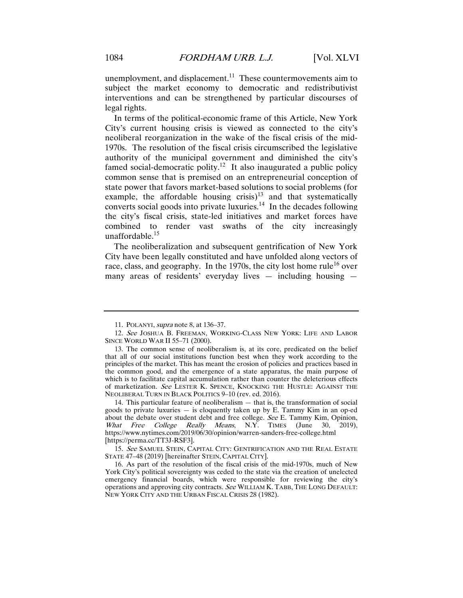unemployment, and displacement.<sup>11</sup> These countermovements aim to subject the market economy to democratic and redistributivist interventions and can be strengthened by particular discourses of legal rights.

In terms of the political-economic frame of this Article, New York City's current housing crisis is viewed as connected to the city's neoliberal reorganization in the wake of the fiscal crisis of the mid-1970s. The resolution of the fiscal crisis circumscribed the legislative authority of the municipal government and diminished the city's famed social-democratic polity.<sup>12</sup> It also inaugurated a public policy common sense that is premised on an entrepreneurial conception of state power that favors market-based solutions to social problems (for example, the affordable housing crisis)<sup>13</sup> and that systematically converts social goods into private luxuries.<sup>14</sup> In the decades following the city's fiscal crisis, state-led initiatives and market forces have combined to render vast swaths of the city increasingly unaffordable.<sup>15</sup>

The neoliberalization and subsequent gentrification of New York City have been legally constituted and have unfolded along vectors of race, class, and geography. In the 1970s, the city lost home rule<sup>16</sup> over many areas of residents' everyday lives — including housing —

 <sup>11.</sup> POLANYI, supra note 8, at 136–37.

<sup>12</sup>. See JOSHUA B. FREEMAN, WORKING-CLASS NEW YORK: LIFE AND LABOR SINCE WORLD WAR II 55–71 (2000).

 <sup>13.</sup> The common sense of neoliberalism is, at its core, predicated on the belief that all of our social institutions function best when they work according to the principles of the market. This has meant the erosion of policies and practices based in the common good, and the emergence of a state apparatus, the main purpose of which is to facilitate capital accumulation rather than counter the deleterious effects of marketization. See LESTER K. SPENCE, KNOCKING THE HUSTLE: AGAINST THE NEOLIBERAL TURN IN BLACK POLITICS 9–10 (rev. ed. 2016).

 <sup>14.</sup> This particular feature of neoliberalism — that is, the transformation of social goods to private luxuries  $-$  is eloquently taken up by E. Tammy Kim in an op-ed about the debate over student debt and free college. See E. Tammy Kim, Opinion, What Free College Really Means, N.Y. TIMES (June 30, 2019), https://www.nytimes.com/2019/06/30/opinion/warren-sanders-free-college.html [https://perma.cc/TT3J-RSF3].

<sup>15.</sup> See SAMUEL STEIN, CAPITAL CITY: GENTRIFICATION AND THE REAL ESTATE STATE 47–48 (2019) [hereinafter STEIN, CAPITAL CITY].

 <sup>16.</sup> As part of the resolution of the fiscal crisis of the mid-1970s, much of New York City's political sovereignty was ceded to the state via the creation of unelected emergency financial boards, which were responsible for reviewing the city's operations and approving city contracts. See WILLIAM K. TABB, THE LONG DEFAULT: NEW YORK CITY AND THE URBAN FISCAL CRISIS 28 (1982).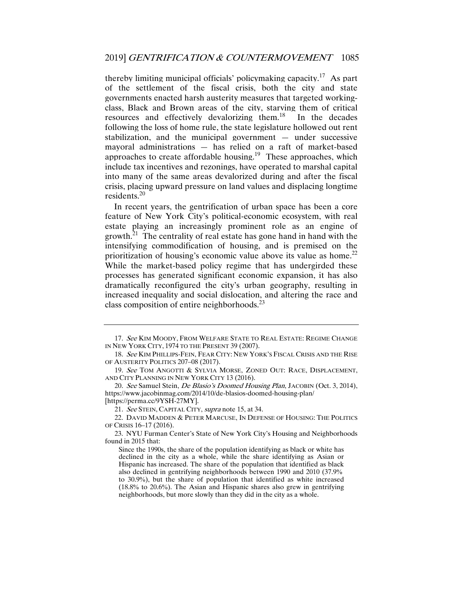thereby limiting municipal officials' policymaking capacity.<sup>17</sup> As part of the settlement of the fiscal crisis, both the city and state governments enacted harsh austerity measures that targeted workingclass, Black and Brown areas of the city, starving them of critical resources and effectively devalorizing them.<sup>18</sup> In the decades following the loss of home rule, the state legislature hollowed out rent stabilization, and the municipal government — under successive mayoral administrations — has relied on a raft of market-based approaches to create affordable housing.<sup>19</sup> These approaches, which include tax incentives and rezonings, have operated to marshal capital into many of the same areas devalorized during and after the fiscal crisis, placing upward pressure on land values and displacing longtime residents.<sup>20</sup>

In recent years, the gentrification of urban space has been a core feature of New York City's political-economic ecosystem, with real estate playing an increasingly prominent role as an engine of growth.<sup>21</sup> The centrality of real estate has gone hand in hand with the intensifying commodification of housing, and is premised on the prioritization of housing's economic value above its value as home.<sup>22</sup> While the market-based policy regime that has undergirded these processes has generated significant economic expansion, it has also dramatically reconfigured the city's urban geography, resulting in increased inequality and social dislocation, and altering the race and class composition of entire neighborhoods. $^{23}$ 

<sup>17.</sup> See KIM MOODY, FROM WELFARE STATE TO REAL ESTATE: REGIME CHANGE IN NEW YORK CITY, 1974 TO THE PRESENT 39 (2007).

<sup>18.</sup> See KIM PHILLIPS-FEIN, FEAR CITY: NEW YORK'S FISCAL CRISIS AND THE RISE OF AUSTERITY POLITICS 207–08 (2017).

<sup>19</sup>. See TOM ANGOTTI & SYLVIA MORSE, ZONED OUT: RACE, DISPLACEMENT, AND CITY PLANNING IN NEW YORK CITY 13 (2016).

<sup>20.</sup> See Samuel Stein, De Blasio's Doomed Housing Plan, JACOBIN (Oct. 3, 2014), https://www.jacobinmag.com/2014/10/de-blasios-doomed-housing-plan/ [https://perma.cc/9YSH-27MY].

<sup>21</sup>. See STEIN, CAPITAL CITY, supra note 15, at 34.

 <sup>22.</sup> DAVID MADDEN & PETER MARCUSE, IN DEFENSE OF HOUSING: THE POLITICS OF CRISIS 16–17 (2016).

 <sup>23.</sup> NYU Furman Center's State of New York City's Housing and Neighborhoods found in 2015 that:

Since the 1990s, the share of the population identifying as black or white has declined in the city as a whole, while the share identifying as Asian or Hispanic has increased. The share of the population that identified as black also declined in gentrifying neighborhoods between 1990 and 2010 (37.9% to 30.9%), but the share of population that identified as white increased (18.8% to 20.6%). The Asian and Hispanic shares also grew in gentrifying neighborhoods, but more slowly than they did in the city as a whole.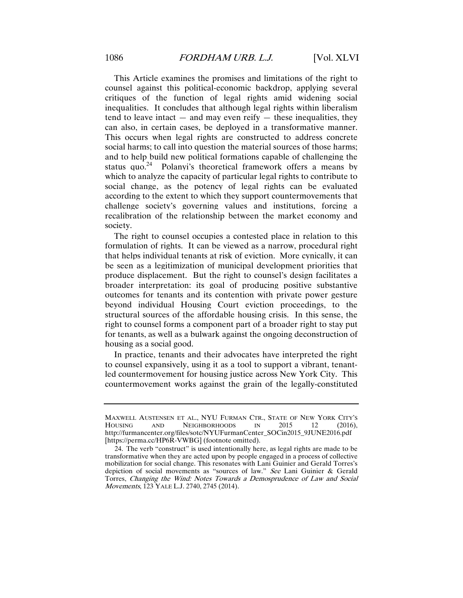This Article examines the promises and limitations of the right to counsel against this political-economic backdrop, applying several critiques of the function of legal rights amid widening social inequalities. It concludes that although legal rights within liberalism tend to leave intact  $-$  and may even reify  $-$  these inequalities, they can also, in certain cases, be deployed in a transformative manner. This occurs when legal rights are constructed to address concrete social harms; to call into question the material sources of those harms; and to help build new political formations capable of challenging the status quo.<sup>24</sup> Polanyi's theoretical framework offers a means by which to analyze the capacity of particular legal rights to contribute to social change, as the potency of legal rights can be evaluated according to the extent to which they support countermovements that challenge society's governing values and institutions, forcing a recalibration of the relationship between the market economy and society.

The right to counsel occupies a contested place in relation to this formulation of rights. It can be viewed as a narrow, procedural right that helps individual tenants at risk of eviction. More cynically, it can be seen as a legitimization of municipal development priorities that produce displacement. But the right to counsel's design facilitates a broader interpretation: its goal of producing positive substantive outcomes for tenants and its contention with private power gesture beyond individual Housing Court eviction proceedings, to the structural sources of the affordable housing crisis. In this sense, the right to counsel forms a component part of a broader right to stay put for tenants, as well as a bulwark against the ongoing deconstruction of housing as a social good.

In practice, tenants and their advocates have interpreted the right to counsel expansively, using it as a tool to support a vibrant, tenantled countermovement for housing justice across New York City. This countermovement works against the grain of the legally-constituted

MAXWELL AUSTENSEN ET AL., NYU FURMAN CTR., STATE OF NEW YORK CITY'S HOUSING AND NEIGHBORHOODS IN 2015 12 (2016). HOUSING AND NEIGHBORHOODS IN 2015 12 (2016), http://furmancenter.org/files/sotc/NYUFurmanCenter\_SOCin2015\_9JUNE2016.pdf [https://perma.cc/HP6R-VWBG] (footnote omitted).

 <sup>24.</sup> The verb "construct" is used intentionally here, as legal rights are made to be transformative when they are acted upon by people engaged in a process of collective mobilization for social change. This resonates with Lani Guinier and Gerald Torres's depiction of social movements as "sources of law." See Lani Guinier & Gerald Torres, Changing the Wind: Notes Towards a Demosprudence of Law and Social Movements, 123 YALE L.J. 2740, 2745 (2014).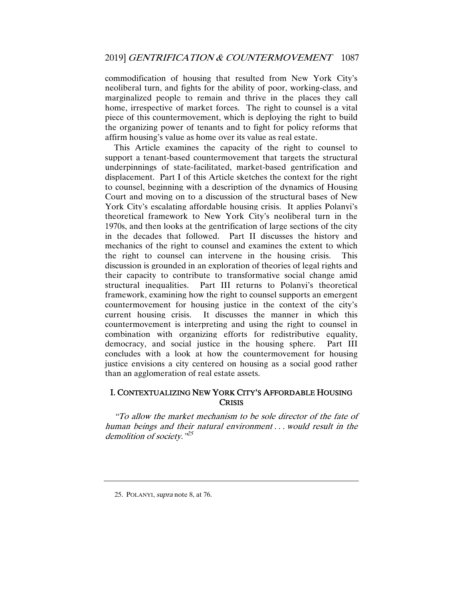commodification of housing that resulted from New York City's neoliberal turn, and fights for the ability of poor, working-class, and marginalized people to remain and thrive in the places they call home, irrespective of market forces. The right to counsel is a vital piece of this countermovement, which is deploying the right to build the organizing power of tenants and to fight for policy reforms that affirm housing's value as home over its value as real estate.

This Article examines the capacity of the right to counsel to support a tenant-based countermovement that targets the structural underpinnings of state-facilitated, market-based gentrification and displacement. Part I of this Article sketches the context for the right to counsel, beginning with a description of the dynamics of Housing Court and moving on to a discussion of the structural bases of New York City's escalating affordable housing crisis. It applies Polanyi's theoretical framework to New York City's neoliberal turn in the 1970s, and then looks at the gentrification of large sections of the city in the decades that followed. Part II discusses the history and mechanics of the right to counsel and examines the extent to which the right to counsel can intervene in the housing crisis. This discussion is grounded in an exploration of theories of legal rights and their capacity to contribute to transformative social change amid structural inequalities. Part III returns to Polanyi's theoretical framework, examining how the right to counsel supports an emergent countermovement for housing justice in the context of the city's current housing crisis. It discusses the manner in which this countermovement is interpreting and using the right to counsel in combination with organizing efforts for redistributive equality, democracy, and social justice in the housing sphere. Part III concludes with a look at how the countermovement for housing justice envisions a city centered on housing as a social good rather than an agglomeration of real estate assets.

#### I. CONTEXTUALIZING NEW YORK CITY'S AFFORDABLE HOUSING **CRISIS**

"To allow the market mechanism to be sole director of the fate of human beings and their natural environment . . . would result in the demolition of society.<sup>325</sup>

 <sup>25.</sup> POLANYI, supra note 8, at 76.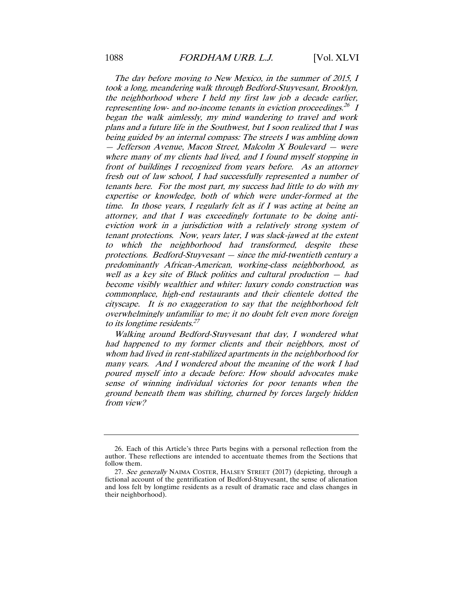The day before moving to New Mexico, in the summer of 2015, I took a long, meandering walk through Bedford-Stuyvesant, Brooklyn, the neighborhood where I held my first law job a decade earlier, representing low- and no-income tenants in eviction proceedings.<sup>26</sup> I began the walk aimlessly, my mind wandering to travel and work plans and a future life in the Southwest, but I soon realized that I was being guided by an internal compass: The streets I was ambling down — Jefferson Avenue, Macon Street, Malcolm X Boulevard — were where many of my clients had lived, and I found myself stopping in front of buildings I recognized from years before. As an attorney fresh out of law school, I had successfully represented a number of tenants here. For the most part, my success had little to do with my expertise or knowledge, both of which were under-formed at the time. In those years, I regularly felt as if I was acting at being an attorney, and that I was exceedingly fortunate to be doing antieviction work in a jurisdiction with a relatively strong system of tenant protections. Now, years later, I was slack-jawed at the extent to which the neighborhood had transformed, despite these protections. Bedford-Stuyvesant — since the mid-twentieth century a predominantly African-American, working-class neighborhood, as well as a key site of Black politics and cultural production — had become visibly wealthier and whiter: luxury condo construction was commonplace, high-end restaurants and their clientele dotted the cityscape. It is no exaggeration to say that the neighborhood felt overwhelmingly unfamiliar to me; it no doubt felt even more foreign to its longtime residents.<sup>27</sup>

Walking around Bedford-Stuyvesant that day, I wondered what had happened to my former clients and their neighbors, most of whom had lived in rent-stabilized apartments in the neighborhood for many years. And I wondered about the meaning of the work I had poured myself into a decade before: How should advocates make sense of winning individual victories for poor tenants when the ground beneath them was shifting, churned by forces largely hidden from view?

 <sup>26.</sup> Each of this Article's three Parts begins with a personal reflection from the author. These reflections are intended to accentuate themes from the Sections that follow them.

<sup>27.</sup> See generally NAIMA COSTER, HALSEY STREET (2017) (depicting, through a fictional account of the gentrification of Bedford-Stuyvesant, the sense of alienation and loss felt by longtime residents as a result of dramatic race and class changes in their neighborhood).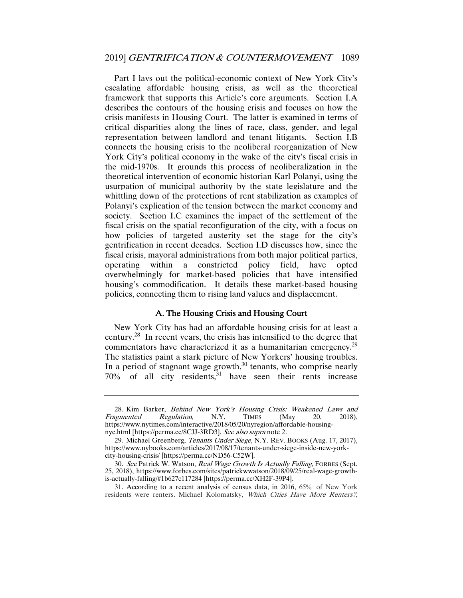Part I lays out the political-economic context of New York City's escalating affordable housing crisis, as well as the theoretical framework that supports this Article's core arguments. Section I.A describes the contours of the housing crisis and focuses on how the crisis manifests in Housing Court. The latter is examined in terms of critical disparities along the lines of race, class, gender, and legal representation between landlord and tenant litigants. Section I.B connects the housing crisis to the neoliberal reorganization of New York City's political economy in the wake of the city's fiscal crisis in the mid-1970s. It grounds this process of neoliberalization in the theoretical intervention of economic historian Karl Polanyi, using the usurpation of municipal authority by the state legislature and the whittling down of the protections of rent stabilization as examples of Polanyi's explication of the tension between the market economy and society. Section I.C examines the impact of the settlement of the fiscal crisis on the spatial reconfiguration of the city, with a focus on how policies of targeted austerity set the stage for the city's gentrification in recent decades. Section I.D discusses how, since the fiscal crisis, mayoral administrations from both major political parties, operating within a constricted policy field, have opted overwhelmingly for market-based policies that have intensified housing's commodification. It details these market-based housing policies, connecting them to rising land values and displacement.

#### A. The Housing Crisis and Housing Court

New York City has had an affordable housing crisis for at least a century.28 In recent years, the crisis has intensified to the degree that commentators have characterized it as a humanitarian emergency.<sup>29</sup> The statistics paint a stark picture of New Yorkers' housing troubles. In a period of stagnant wage growth, $30$  tenants, who comprise nearly  $70\%$  of all city residents,  $31$  have seen their rents increase

<sup>28.</sup> Kim Barker, *Behind New York's Housing Crisis: Weakened Laws and Regulation.* N.Y. TIMES (May 20, 2018). Fragmented Regulation, N.Y. TIMES (May 20, 2018), https://www.nytimes.com/interactive/2018/05/20/nyregion/affordable-housingnyc.html [https://perma.cc/8CJJ-3RD3]. See also supra note 2.

 <sup>29.</sup> Michael Greenberg, Tenants Under Siege, N.Y. REV. BOOKS (Aug. 17, 2017), https://www.nybooks.com/articles/2017/08/17/tenants-under-siege-inside-new-yorkcity-housing-crisis/ [https://perma.cc/ND56-C52W].

<sup>30.</sup> See Patrick W. Watson, Real Wage Growth Is Actually Falling, FORBES (Sept. 25, 2018), https://www.forbes.com/sites/patrickwwatson/2018/09/25/real-wage-growthis-actually-falling/#1b627c117284 [https://perma.cc/XH2F-39P4].

 <sup>31.</sup> According to a recent analysis of census data, in 2016, 65% of New York residents were renters. Michael Kolomatsky, Which Cities Have More Renters?,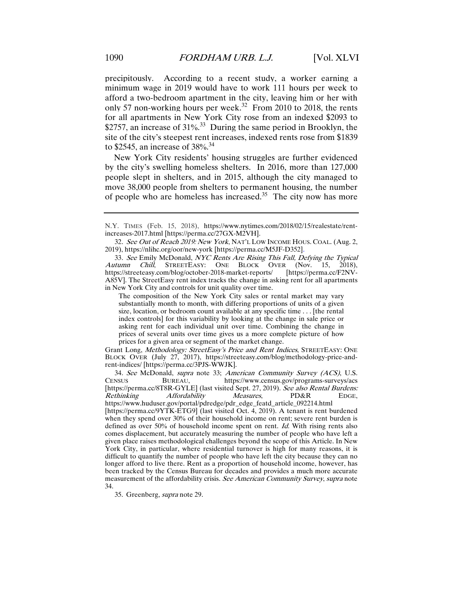precipitously. According to a recent study, a worker earning a minimum wage in 2019 would have to work 111 hours per week to afford a two-bedroom apartment in the city, leaving him or her with only 57 non-working hours per week.<sup>32</sup> From 2010 to 2018, the rents for all apartments in New York City rose from an indexed \$2093 to \$2757, an increase of  $31\%$ <sup>33</sup> During the same period in Brooklyn, the site of the city's steepest rent increases, indexed rents rose from \$1839 to \$2545, an increase of 38%. 34

New York City residents' housing struggles are further evidenced by the city's swelling homeless shelters. In 2016, more than 127,000 people slept in shelters, and in 2015, although the city managed to move 38,000 people from shelters to permanent housing, the number of people who are homeless has increased.<sup>35</sup> The city now has more

The composition of the New York City sales or rental market may vary substantially month to month, with differing proportions of units of a given size, location, or bedroom count available at any specific time . . . [the rental index controls] for this variability by looking at the change in sale price or asking rent for each individual unit over time. Combining the change in prices of several units over time gives us a more complete picture of how prices for a given area or segment of the market change.

Grant Long, Methodology: StreetEasy's Price and Rent Indices, STREETEASY: ONE BLOCK OVER (July 27, 2017), https://streeteasy.com/blog/methodology-price-andrent-indices/ [https://perma.cc/3PJS-WWJK].

34. See McDonald, supra note 33; American Community Survey (ACS), U.S. CENSUS BUREAU, https://www.census.gov/programs-surveys/acs [https://perma.cc/8T8R-GYLE] (last visited Sept. 27, 2019). See also Rental Burdens: Rethinking Affordability Measures, PD&R EDGE, https://www.huduser.gov/portal/pdredge/pdr\_edge\_featd\_article\_092214.html [https://perma.cc/9YTK-ETG9] (last visited Oct. 4, 2019). A tenant is rent burdened when they spend over 30% of their household income on rent; severe rent burden is defined as over  $50\%$  of household income spent on rent. *Id.* With rising rents also comes displacement, but accurately measuring the number of people who have left a given place raises methodological challenges beyond the scope of this Article. In New York City, in particular, where residential turnover is high for many reasons, it is difficult to quantify the number of people who have left the city because they can no longer afford to live there. Rent as a proportion of household income, however, has been tracked by the Census Bureau for decades and provides a much more accurate measurement of the affordability crisis. See American Community Survey, supra note 34.

35. Greenberg, supra note 29.

N.Y. TIMES (Feb. 15, 2018), https://www.nytimes.com/2018/02/15/realestate/rentincreases-2017.html [https://perma.cc/27GX-M2VH].

<sup>32.</sup> See Out of Reach 2019: New York, NAT'L LOW INCOME HOUS. COAL. (Aug. 2, 2019), https://nlihc.org/oor/new-york [https://perma.cc/M5JF-D352].

<sup>33.</sup> See Emily McDonald, NYC Rents Are Rising This Fall, Defying the Typical Autumn Chill, STREETEASY: ONE BLOCK OVER (Nov. 15, 2018), STREETEASY: ONE BLOCK OVER (Nov. 15, 2018), https://streeteasy.com/blog/october-2018-market-reports/ [https://perma.cc/F2NV-A85V]. The StreetEasy rent index tracks the change in asking rent for all apartments in New York City and controls for unit quality over time.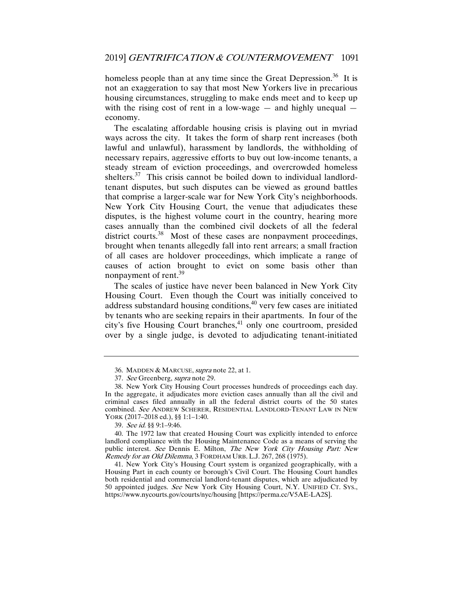homeless people than at any time since the Great Depression.<sup>36</sup> It is not an exaggeration to say that most New Yorkers live in precarious housing circumstances, struggling to make ends meet and to keep up with the rising cost of rent in a low-wage  $-$  and highly unequal  $$ economy.

The escalating affordable housing crisis is playing out in myriad ways across the city. It takes the form of sharp rent increases (both lawful and unlawful), harassment by landlords, the withholding of necessary repairs, aggressive efforts to buy out low-income tenants, a steady stream of eviction proceedings, and overcrowded homeless shelters.<sup>37</sup> This crisis cannot be boiled down to individual landlordtenant disputes, but such disputes can be viewed as ground battles that comprise a larger-scale war for New York City's neighborhoods. New York City Housing Court, the venue that adjudicates these disputes, is the highest volume court in the country, hearing more cases annually than the combined civil dockets of all the federal district courts.<sup>38</sup> Most of these cases are nonpayment proceedings, brought when tenants allegedly fall into rent arrears; a small fraction of all cases are holdover proceedings, which implicate a range of causes of action brought to evict on some basis other than nonpayment of rent.<sup>39</sup>

The scales of justice have never been balanced in New York City Housing Court. Even though the Court was initially conceived to address substandard housing conditions, $40$  very few cases are initiated by tenants who are seeking repairs in their apartments. In four of the city's five Housing Court branches, $41$  only one courtroom, presided over by a single judge, is devoted to adjudicating tenant-initiated

<sup>36.</sup> MADDEN & MARCUSE, supra note 22, at 1.

<sup>37</sup>. See Greenberg, supra note 29.

 <sup>38.</sup> New York City Housing Court processes hundreds of proceedings each day. In the aggregate, it adjudicates more eviction cases annually than all the civil and criminal cases filed annually in all the federal district courts of the 50 states combined. See ANDREW SCHERER, RESIDENTIAL LANDLORD-TENANT LAW IN NEW YORK (2017–2018 ed.), §§ 1:1–1:40.

<sup>39</sup>. See id. §§ 9:1–9:46.

 <sup>40.</sup> The 1972 law that created Housing Court was explicitly intended to enforce landlord compliance with the Housing Maintenance Code as a means of serving the public interest. See Dennis E. Milton, The New York City Housing Part: New Remedy for an Old Dilemma, 3 FORDHAM URB. L.J. 267, 268 (1975).

 <sup>41.</sup> New York City's Housing Court system is organized geographically, with a Housing Part in each county or borough's Civil Court. The Housing Court handles both residential and commercial landlord-tenant disputes, which are adjudicated by 50 appointed judges. See New York City Housing Court, N.Y. UNIFIED CT. SYS., https://www.nycourts.gov/courts/nyc/housing [https://perma.cc/V5AE-LA2S].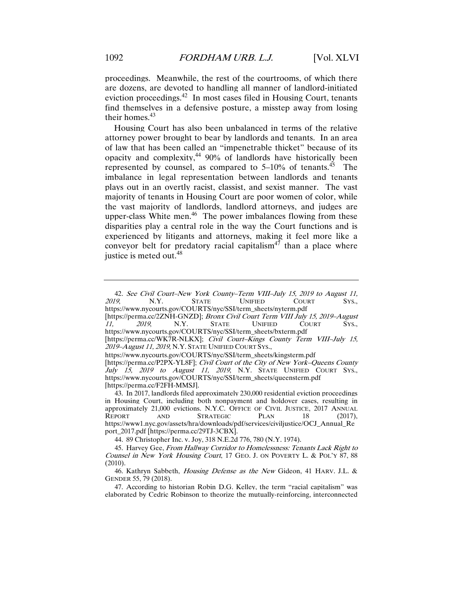proceedings. Meanwhile, the rest of the courtrooms, of which there are dozens, are devoted to handling all manner of landlord-initiated eviction proceedings.<sup>42</sup> In most cases filed in Housing Court, tenants find themselves in a defensive posture, a misstep away from losing their homes.<sup>43</sup>

Housing Court has also been unbalanced in terms of the relative attorney power brought to bear by landlords and tenants. In an area of law that has been called an "impenetrable thicket" because of its opacity and complexity,44 90% of landlords have historically been represented by counsel, as compared to  $5-10\%$  of tenants.<sup>45</sup> The imbalance in legal representation between landlords and tenants plays out in an overtly racist, classist, and sexist manner. The vast majority of tenants in Housing Court are poor women of color, while the vast majority of landlords, landlord attorneys, and judges are upper-class White men.<sup>46</sup> The power imbalances flowing from these disparities play a central role in the way the Court functions and is experienced by litigants and attorneys, making it feel more like a conveyor belt for predatory racial capitalism<sup>47</sup> than a place where justice is meted out. $48$ 

[https://perma.cc/2ZNH-GNZD]; *Bronx Civil Court Term VIII July 15, 2019–August 11, 2019*, N.Y. STATE UNIFIED COURT SYS., STATE UNIFIED COURT SYS., https://www.nycourts.gov/COURTS/nyc/SSI/term\_sheets/bxterm.pdf

44. 89 Christopher Inc. v. Joy, 318 N.E.2d 776, 780 (N.Y. 1974).

<sup>42</sup>. See Civil Court–New York County–Term VIII–July 15, 2019 to August 11, 2019, N.Y. STATE UNIFIED COURT SYS., https://www.nycourts.gov/COURTS/nyc/SSI/term\_sheets/nyterm.pdf

<sup>[</sup>https://perma.cc/WK7R-NLKX]; Civil Court-Kings County Term VIII-July 15, 2019–August 11, 2019, N.Y. STATE UNIFIED COURT SYS.,

https://www.nycourts.gov/COURTS/nyc/SSI/term\_sheets/kingsterm.pdf

<sup>[</sup>https://perma.cc/P2PX-YL8F]; Civil Court of the City of New York–Queens County July 15, 2019 to August 11, 2019, N.Y. STATE UNIFIED COURT SYS., https://www.nycourts.gov/COURTS/nyc/SSI/term\_sheets/queensterm.pdf [https://perma.cc/F2FH-MMSJ].

 <sup>43.</sup> In 2017, landlords filed approximately 230,000 residential eviction proceedings in Housing Court, including both nonpayment and holdover cases, resulting in approximately 21,000 evictions. N.Y.C. OFFICE OF CIVIL JUSTICE, 2017 ANNUAL REPORT AND STRATEGIC PLAN 18 (2017), REPORT AND STRATEGIC PLAN 18 https://www1.nyc.gov/assets/hra/downloads/pdf/services/civiljustice/OCJ\_Annual\_Re port\_2017.pdf [https://perma.cc/29TJ-3CBX].

 <sup>45.</sup> Harvey Gee, From Hallway Corridor to Homelessness: Tenants Lack Right to Counsel in New York Housing Court, 17 GEO. J. ON POVERTY L. & POL'Y 87, 88 (2010).

 <sup>46.</sup> Kathryn Sabbeth, Housing Defense as the New Gideon, 41 HARV. J.L. & GENDER 55, 79 (2018).

 <sup>47.</sup> According to historian Robin D.G. Kelley, the term "racial capitalism" was elaborated by Cedric Robinson to theorize the mutually-reinforcing, interconnected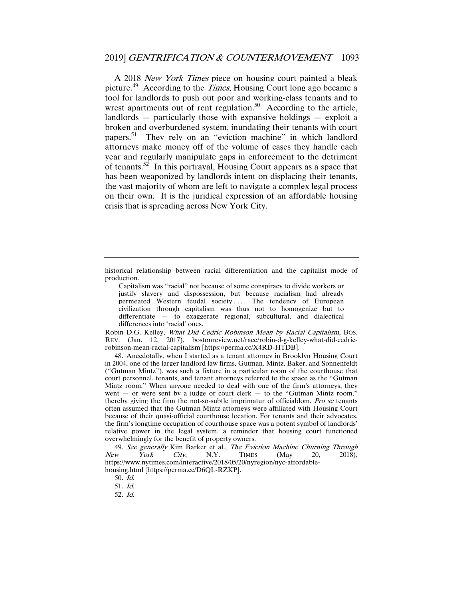A 2018 New York Times piece on housing court painted a bleak picture.<sup>49</sup> According to the *Times*, Housing Court long ago became a tool for landlords to push out poor and working-class tenants and to wrest apartments out of rent regulation.<sup>50</sup> According to the article, landlords  $-$  particularly those with expansive holdings  $-$  exploit a broken and overburdened system, inundating their tenants with court papers.51 They rely on an "eviction machine" in which landlord attorneys make money off of the volume of cases they handle each year and regularly manipulate gaps in enforcement to the detriment of tenants.<sup>52</sup> In this portrayal, Housing Court appears as a space that has been weaponized by landlords intent on displacing their tenants, the vast majority of whom are left to navigate a complex legal process on their own. It is the juridical expression of an affordable housing crisis that is spreading across New York City.

Robin D.G. Kelley, What Did Cedric Robinson Mean by Racial Capitalism, Bos. REV. (Jan. 12, 2017), bostonreview.net/race/robin-d-g-kelley-what-did-cedricrobinson-mean-racial-capitalism [https://perma.cc/X4RD-HTDB].

 48. Anecdotally, when I started as a tenant attorney in Brooklyn Housing Court in 2004, one of the larger landlord law firms, Gutman, Mintz, Baker, and Sonnenfeldt ("Gutman Mintz"), was such a fixture in a particular room of the courthouse that court personnel, tenants, and tenant attorneys referred to the space as the "Gutman Mintz room." When anyone needed to deal with one of the firm's attorneys, they went  $-$  or were sent by a judge or court clerk  $-$  to the "Gutman Mintz room," thereby giving the firm the not-so-subtle imprimatur of officialdom. Pro se tenants often assumed that the Gutman Mintz attorneys were affiliated with Housing Court because of their quasi-official courthouse location. For tenants and their advocates, the firm's longtime occupation of courthouse space was a potent symbol of landlords' relative power in the legal system, a reminder that housing court functioned overwhelmingly for the benefit of property owners.

49. See generally Kim Barker et al., The Eviction Machine Churning Through  $New$  York City, N.Y. TIMES (May 20, 2018), https://www.nytimes.com/interactive/2018/05/20/nyregion/nyc-affordablehousing.html [https://perma.cc/D6QL-RZKP].

51. Id.

52. Id.

historical relationship between racial differentiation and the capitalist mode of production.

Capitalism was "racial" not because of some conspiracy to divide workers or justify slavery and dispossession, but because racialism had already permeated Western feudal society . . . . The tendency of European civilization through capitalism was thus not to homogenize but to differentiate — to exaggerate regional, subcultural, and dialectical differences into 'racial' ones.

<sup>50</sup>. Id.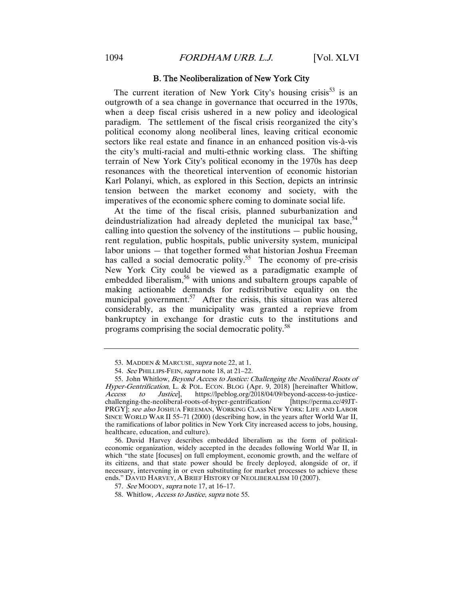#### B. The Neoliberalization of New York City

The current iteration of New York City's housing crisis<sup>53</sup> is an outgrowth of a sea change in governance that occurred in the 1970s, when a deep fiscal crisis ushered in a new policy and ideological paradigm. The settlement of the fiscal crisis reorganized the city's political economy along neoliberal lines, leaving critical economic sectors like real estate and finance in an enhanced position vis-à-vis the city's multi-racial and multi-ethnic working class. The shifting terrain of New York City's political economy in the 1970s has deep resonances with the theoretical intervention of economic historian Karl Polanyi, which, as explored in this Section, depicts an intrinsic tension between the market economy and society, with the imperatives of the economic sphere coming to dominate social life.

At the time of the fiscal crisis, planned suburbanization and deindustrialization had already depleted the municipal tax base,  $54$ calling into question the solvency of the institutions — public housing, rent regulation, public hospitals, public university system, municipal labor unions — that together formed what historian Joshua Freeman has called a social democratic polity.<sup>55</sup> The economy of pre-crisis New York City could be viewed as a paradigmatic example of embedded liberalism,<sup>56</sup> with unions and subaltern groups capable of making actionable demands for redistributive equality on the municipal government.<sup>57</sup> After the crisis, this situation was altered considerably, as the municipality was granted a reprieve from bankruptcy in exchange for drastic cuts to the institutions and programs comprising the social democratic polity.<sup>58</sup>

 56. David Harvey describes embedded liberalism as the form of politicaleconomic organization, widely accepted in the decades following World War II, in which "the state [focuses] on full employment, economic growth, and the welfare of its citizens, and that state power should be freely deployed, alongside of or, if necessary, intervening in or even substituting for market processes to achieve these ends." DAVID HARVEY, A BRIEF HISTORY OF NEOLIBERALISM 10 (2007).

<sup>53.</sup> MADDEN & MARCUSE, *supra* note 22, at 1.

<sup>54.</sup> See PHILLIPS-FEIN, supra note 18, at 21-22.

<sup>55.</sup> John Whitlow, Beyond Access to Justice: Challenging the Neoliberal Roots of Hyper-Gentrification, L. & POL. ECON. BLOG (Apr. 9, 2018) [hereinafter Whitlow, Access to Justice], https://lpeblog.org/2018/04/09/beyond-access-to-justicechallenging-the-neoliberal-roots-of-hyper-gentrification/ [https://perma.cc/49JT-PRGY]; see also JOSHUA FREEMAN, WORKING CLASS NEW YORK: LIFE AND LABOR SINCE WORLD WAR II 55–71 (2000) (describing how, in the years after World War II, the ramifications of labor politics in New York City increased access to jobs, housing, healthcare, education, and culture).

<sup>57</sup>. See MOODY, supra note 17, at 16–17.

 <sup>58.</sup> Whitlow, Access to Justice, supra note 55.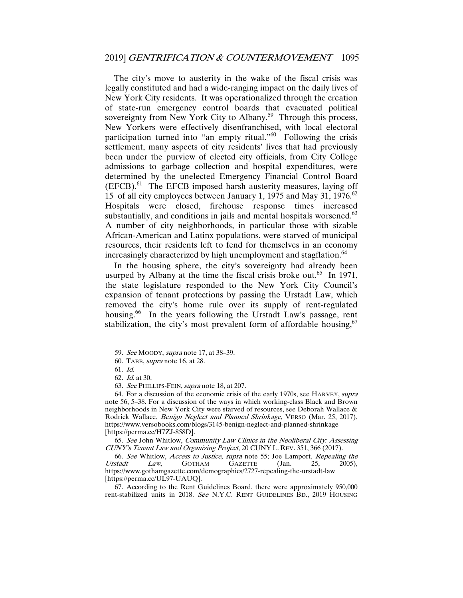The city's move to austerity in the wake of the fiscal crisis was legally constituted and had a wide-ranging impact on the daily lives of New York City residents. It was operationalized through the creation of state-run emergency control boards that evacuated political sovereignty from New York City to Albany.<sup>59</sup> Through this process, New Yorkers were effectively disenfranchised, with local electoral participation turned into "an empty ritual."60 Following the crisis settlement, many aspects of city residents' lives that had previously been under the purview of elected city officials, from City College admissions to garbage collection and hospital expenditures, were determined by the unelected Emergency Financial Control Board  $(EFCB)$ <sup>61</sup> The EFCB imposed harsh austerity measures, laying off 15 of all city employees between January 1, 1975 and May 31, 1976.<sup>62</sup> Hospitals were closed, firehouse response times increased substantially, and conditions in jails and mental hospitals worsened. $63$ A number of city neighborhoods, in particular those with sizable African-American and Latinx populations, were starved of municipal resources, their residents left to fend for themselves in an economy increasingly characterized by high unemployment and stagflation.<sup>64</sup>

In the housing sphere, the city's sovereignty had already been usurped by Albany at the time the fiscal crisis broke out.<sup>65</sup> In 1971, the state legislature responded to the New York City Council's expansion of tenant protections by passing the Urstadt Law, which removed the city's home rule over its supply of rent-regulated housing.<sup>66</sup> In the years following the Urstadt Law's passage, rent stabilization, the city's most prevalent form of affordable housing,  $67$ 

65. See John Whitlow, Community Law Clinics in the Neoliberal City: Assessing CUNY's Tenant Law and Organizing Project, 20 CUNY L. REV. 351, 366 (2017).

66. See Whitlow, Access to Justice, supra note 55; Joe Lamport, Repealing the Urstadt Law, GOTHAM GAZETTE (Jan. 25, 2005), https://www.gothamgazette.com/demographics/2727-repealing-the-urstadt-law [https://perma.cc/UL97-UAUQ].

 67. According to the Rent Guidelines Board, there were approximately 950,000 rent-stabilized units in 2018. See N.Y.C. RENT GUIDELINES BD., 2019 HOUSING

<sup>59</sup>. See MOODY, supra note 17, at 38–39.

 <sup>60.</sup> TABB, supra note 16, at 28.

<sup>61</sup>. Id.

<sup>62</sup>. Id. at 30.

<sup>63.</sup> See PHILLIPS-FEIN, supra note 18, at 207.

 <sup>64.</sup> For a discussion of the economic crisis of the early 1970s, see HARVEY, supra note 56, 5–38. For a discussion of the ways in which working-class Black and Brown neighborhoods in New York City were starved of resources, see Deborah Wallace & Rodrick Wallace, *Benign Neglect and Planned Shrinkage*, VERSO (Mar. 25, 2017), https://www.versobooks.com/blogs/3145-benign-neglect-and-planned-shrinkage [https://perma.cc/H7ZJ-858D].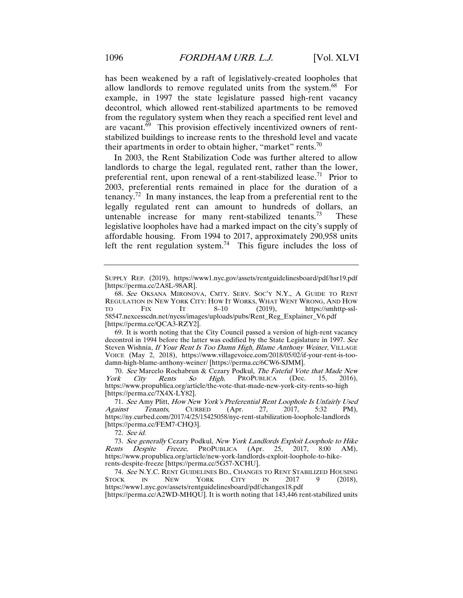has been weakened by a raft of legislatively-created loopholes that allow landlords to remove regulated units from the system.<sup>68</sup> For example, in 1997 the state legislature passed high-rent vacancy decontrol, which allowed rent-stabilized apartments to be removed from the regulatory system when they reach a specified rent level and are vacant.<sup>69</sup> This provision effectively incentivized owners of rentstabilized buildings to increase rents to the threshold level and vacate their apartments in order to obtain higher, "market" rents.<sup>70</sup>

In 2003, the Rent Stabilization Code was further altered to allow landlords to charge the legal, regulated rent, rather than the lower, preferential rent, upon renewal of a rent-stabilized lease.<sup>71</sup> Prior to 2003, preferential rents remained in place for the duration of a tenancy.<sup>72</sup> In many instances, the leap from a preferential rent to the legally regulated rent can amount to hundreds of dollars, an untenable increase for many rent-stabilized tenants.<sup>73</sup> These legislative loopholes have had a marked impact on the city's supply of affordable housing. From 1994 to 2017, approximately 290,958 units left the rent regulation system.<sup>74</sup> This figure includes the loss of

70. See Marcelo Rochabrun & Cezary Podkul, The Fateful Vote that Made New York City Rents So High, PROPUBLICA (Dec. 15, 2016), https://www.propublica.org/article/the-vote-that-made-new-york-city-rents-so-high [https://perma.cc/7X4X-LY82].

72. See id.

73. See generally Cezary Podkul, New York Landlords Exploit Loophole to Hike<br>Rents Despite Freeze, PROPUBLICA (Apr. 25, 2017, 8:00 AM),  $Freeze$ , PROPUBLICA (Apr. 25, 2017, 8:00 AM), https://www.propublica.org/article/new-york-landlords-exploit-loophole-to-hikerents-despite-freeze [https://perma.cc/5G57-XCHU].

74. See N.Y.C. RENT GUIDELINES BD., CHANGES TO RENT STABILIZED HOUSING<br>OCK IN NEW YORK CITY IN 2017 9 (2018). STOCK IN NEW YORK CITY IN 2017 9 (2018), https://www1.nyc.gov/assets/rentguidelinesboard/pdf/changes18.pdf [https://perma.cc/A2WD-MHQU]. It is worth noting that 143,446 rent-stabilized units

SUPPLY REP. (2019), https://www1.nyc.gov/assets/rentguidelinesboard/pdf/hsr19.pdf [https://perma.cc/2A8L-98AR].

<sup>68</sup>. See OKSANA MIRONOVA, CMTY. SERV. SOC'Y N.Y., A GUIDE TO RENT REGULATION IN NEW YORK CITY: HOW IT WORKS, WHAT WENT WRONG, AND HOW TO FIX IT 8-10 (2019), https://smhttp-ssl-TO FIX IT 8–10 (2019), https://smhttp-ssl-58547.nexcesscdn.net/nycss/images/uploads/pubs/Rent\_Reg\_Explainer\_V6.pdf [https://perma.cc/QCA3-RZY2].

 <sup>69.</sup> It is worth noting that the City Council passed a version of high-rent vacancy decontrol in 1994 before the latter was codified by the State Legislature in 1997. See Steven Wishnia, If Your Rent Is Too Damn High, Blame Anthony Weiner, VILLAGE VOICE (May 2, 2018), https://www.villagevoice.com/2018/05/02/if-your-rent-is-toodamn-high-blame-anthony-weiner/ [https://perma.cc/6CW6-SJMM].

<sup>71.</sup> See Amy Plitt, How New York's Preferential Rent Loophole Is Unfairly Used<br>
results Tenants, CURBED (Apr. 27, 2017, 5:32 PM), Against Tenants, CURBED (Apr. 27, 2017, 5:32 PM), https://ny.curbed.com/2017/4/25/15425058/nyc-rent-stabilization-loophole-landlords [https://perma.cc/FEM7-CHQ3].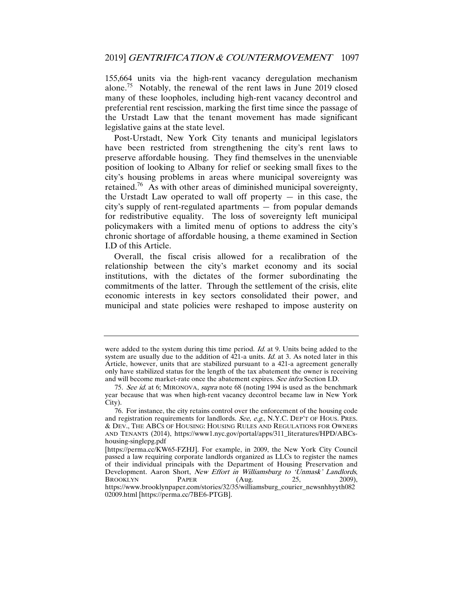155,664 units via the high-rent vacancy deregulation mechanism alone.75 Notably, the renewal of the rent laws in June 2019 closed many of these loopholes, including high-rent vacancy decontrol and preferential rent rescission, marking the first time since the passage of the Urstadt Law that the tenant movement has made significant legislative gains at the state level.

Post-Urstadt, New York City tenants and municipal legislators have been restricted from strengthening the city's rent laws to preserve affordable housing. They find themselves in the unenviable position of looking to Albany for relief or seeking small fixes to the city's housing problems in areas where municipal sovereignty was retained.<sup>76</sup> As with other areas of diminished municipal sovereignty, the Urstadt Law operated to wall off property  $-$  in this case, the city's supply of rent-regulated apartments — from popular demands for redistributive equality. The loss of sovereignty left municipal policymakers with a limited menu of options to address the city's chronic shortage of affordable housing, a theme examined in Section I.D of this Article.

Overall, the fiscal crisis allowed for a recalibration of the relationship between the city's market economy and its social institutions, with the dictates of the former subordinating the commitments of the latter. Through the settlement of the crisis, elite economic interests in key sectors consolidated their power, and municipal and state policies were reshaped to impose austerity on

were added to the system during this time period. *Id.* at 9. Units being added to the system are usually due to the addition of  $421$ -a units. *Id.* at 3. As noted later in this Article, however, units that are stabilized pursuant to a 421-a agreement generally only have stabilized status for the length of the tax abatement the owner is receiving and will become market-rate once the abatement expires. See infra Section I.D.

<sup>75</sup>. See id. at 6; MIRONOVA, supra note 68 (noting 1994 is used as the benchmark year because that was when high-rent vacancy decontrol became law in New York City).

 <sup>76.</sup> For instance, the city retains control over the enforcement of the housing code and registration requirements for landlords. See, e.g., N.Y.C. DEP'T OF HOUS. PRES. & DEV., THE ABCS OF HOUSING: HOUSING RULES AND REGULATIONS FOR OWNERS AND TENANTS (2014), https://www1.nyc.gov/portal/apps/311\_literatures/HPD/ABCshousing-singlepg.pdf

<sup>[</sup>https://perma.cc/KW65-FZHJ]. For example, in 2009, the New York City Council passed a law requiring corporate landlords organized as LLCs to register the names of their individual principals with the Department of Housing Preservation and Development. Aaron Short, *New Effort in Williamsburg to 'Unmask' Landlords*,<br>BROOKLYN PAPER (Aug. 25, 2009), BROOKLYN PAPER (Aug. 25, 2009), https://www.brooklynpaper.com/stories/32/35/williamsburg\_courier\_newsnhhyyth082 02009.html [https://perma.cc/7BE6-PTGB].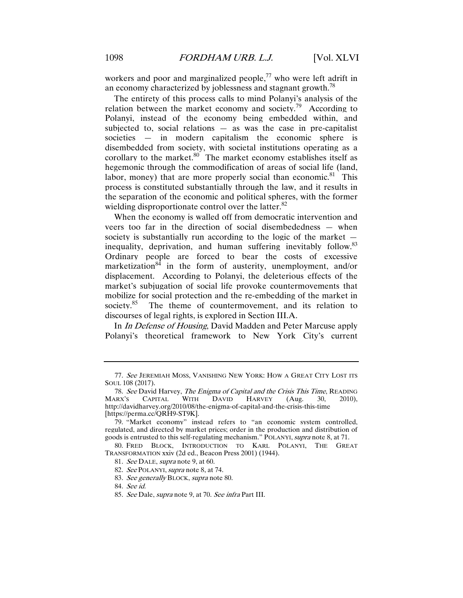workers and poor and marginalized people, $^{77}$  who were left adrift in an economy characterized by joblessness and stagnant growth.<sup>78</sup>

The entirety of this process calls to mind Polanyi's analysis of the relation between the market economy and society.<sup>79</sup> According to Polanyi, instead of the economy being embedded within, and subjected to, social relations  $-$  as was the case in pre-capitalist societies — in modern capitalism the economic sphere is disembedded from society, with societal institutions operating as a corollary to the market. $80$  The market economy establishes itself as hegemonic through the commodification of areas of social life (land, labor, money) that are more properly social than economic.<sup>81</sup> This process is constituted substantially through the law, and it results in the separation of the economic and political spheres, with the former wielding disproportionate control over the latter.<sup>82</sup>

When the economy is walled off from democratic intervention and veers too far in the direction of social disembededness — when society is substantially run according to the logic of the market inequality, deprivation, and human suffering inevitably follow. $83$ Ordinary people are forced to bear the costs of excessive marketization<sup>84</sup> in the form of austerity, unemployment, and/or displacement. According to Polanyi, the deleterious effects of the market's subjugation of social life provoke countermovements that mobilize for social protection and the re-embedding of the market in society.<sup>85</sup> The theme of countermovement, and its relation to discourses of legal rights, is explored in Section III.A.

In In Defense of Housing, David Madden and Peter Marcuse apply Polanyi's theoretical framework to New York City's current

83. See generally BLOCK, supra note 80.

<sup>77</sup>. See JEREMIAH MOSS, VANISHING NEW YORK: HOW A GREAT CITY LOST ITS SOUL 108 (2017).

<sup>78.</sup> See David Harvey, *The Enigma of Capital and the Crisis This Time*, READING<br>NRX'S CAPITAL WITH DAVID HARVEY (Aug. 30, 2010), MARX'S CAPITAL WITH DAVID HARVEY (Aug. 30, 2010), http://davidharvey.org/2010/08/the-enigma-of-capital-and-the-crisis-this-time [https://perma.cc/QRH9-ST9K].

 <sup>79. &</sup>quot;Market economy" instead refers to "an economic system controlled, regulated, and directed by market prices; order in the production and distribution of goods is entrusted to this self-regulating mechanism." POLANYI, *supra* note 8, at 71.

 <sup>80.</sup> FRED BLOCK, INTRODUCTION TO KARL POLANYI, THE GREAT TRANSFORMATION xxiv (2d ed., Beacon Press 2001) (1944).

<sup>81</sup>. See DALE, supra note 9, at 60.

<sup>82.</sup> See POLANYI, supra note 8, at 74.

<sup>84</sup>. See id.

<sup>85</sup>. See Dale, supra note 9, at 70. See infra Part III.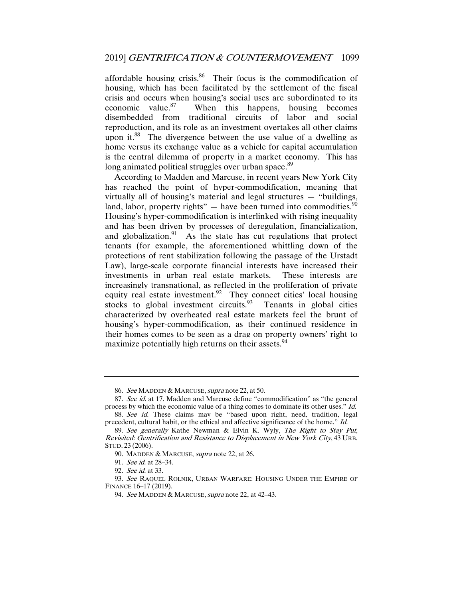affordable housing crisis. $86$  Their focus is the commodification of housing, which has been facilitated by the settlement of the fiscal crisis and occurs when housing's social uses are subordinated to its economic value. $87$  When this happens, housing becomes disembedded from traditional circuits of labor and social reproduction, and its role as an investment overtakes all other claims upon it.<sup>88</sup> The divergence between the use value of a dwelling as home versus its exchange value as a vehicle for capital accumulation is the central dilemma of property in a market economy. This has long animated political struggles over urban space.<sup>89</sup>

According to Madden and Marcuse, in recent years New York City has reached the point of hyper-commodification, meaning that virtually all of housing's material and legal structures — "buildings, land, labor, property rights"  $-$  have been turned into commodities.<sup>90</sup> Housing's hyper-commodification is interlinked with rising inequality and has been driven by processes of deregulation, financialization, and globalization.<sup>91</sup> As the state has cut regulations that protect tenants (for example, the aforementioned whittling down of the protections of rent stabilization following the passage of the Urstadt Law), large-scale corporate financial interests have increased their investments in urban real estate markets. These interests are increasingly transnational, as reflected in the proliferation of private equity real estate investment.<sup>92</sup> They connect cities' local housing stocks to global investment circuits.  $93$  Tenants in global cities characterized by overheated real estate markets feel the brunt of housing's hyper-commodification, as their continued residence in their homes comes to be seen as a drag on property owners' right to maximize potentially high returns on their assets.<sup>94</sup>

<sup>86.</sup> See MADDEN & MARCUSE, supra note 22, at 50.

<sup>87.</sup> See id. at 17. Madden and Marcuse define "commodification" as "the general process by which the economic value of a thing comes to dominate its other uses." Id.

<sup>88.</sup> See id. These claims may be "based upon right, need, tradition, legal precedent, cultural habit, or the ethical and affective significance of the home." Id.

<sup>89</sup>. See generally Kathe Newman & Elvin K. Wyly, The Right to Stay Put, Revisited: Gentrification and Resistance to Displacement in New York City, 43 URB. STUD. 23 (2006).

 <sup>90.</sup> MADDEN & MARCUSE, supra note 22, at 26.

<sup>91</sup>. See id. at 28–34.

<sup>92</sup>. See id. at 33.

<sup>93</sup>. See RAQUEL ROLNIK, URBAN WARFARE: HOUSING UNDER THE EMPIRE OF FINANCE 16–17 (2019).

<sup>94.</sup> See MADDEN & MARCUSE, supra note 22, at 42-43.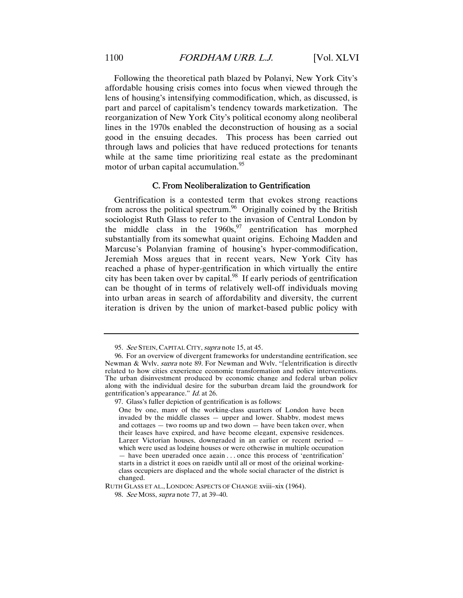Following the theoretical path blazed by Polanyi, New York City's affordable housing crisis comes into focus when viewed through the lens of housing's intensifying commodification, which, as discussed, is part and parcel of capitalism's tendency towards marketization. The reorganization of New York City's political economy along neoliberal lines in the 1970s enabled the deconstruction of housing as a social good in the ensuing decades. This process has been carried out through laws and policies that have reduced protections for tenants while at the same time prioritizing real estate as the predominant motor of urban capital accumulation.<sup>95</sup>

#### C. From Neoliberalization to Gentrification

Gentrification is a contested term that evokes strong reactions from across the political spectrum.<sup>96</sup> Originally coined by the British sociologist Ruth Glass to refer to the invasion of Central London by the middle class in the  $1960s$ , <sup>97</sup> gentrification has morphed substantially from its somewhat quaint origins. Echoing Madden and Marcuse's Polanyian framing of housing's hyper-commodification, Jeremiah Moss argues that in recent years, New York City has reached a phase of hyper-gentrification in which virtually the entire city has been taken over by capital.<sup>98</sup> If early periods of gentrification can be thought of in terms of relatively well-off individuals moving into urban areas in search of affordability and diversity, the current iteration is driven by the union of market-based public policy with

97. Glass's fuller depiction of gentrification is as follows:

<sup>95.</sup> See STEIN, CAPITAL CITY, supra note 15, at 45.

 <sup>96.</sup> For an overview of divergent frameworks for understanding gentrification, see Newman & Wyly, *supra* note 89. For Newman and Wyly, "[g]entrification is directly related to how cities experience economic transformation and policy interventions. The urban disinvestment produced by economic change and federal urban policy along with the individual desire for the suburban dream laid the groundwork for gentrification's appearance." Id. at 26.

One by one, many of the working-class quarters of London have been invaded by the middle classes — upper and lower. Shabby, modest mews and cottages  $-$  two rooms up and two down  $-$  have been taken over, when their leases have expired, and have become elegant, expensive residences. Larger Victorian houses, downgraded in an earlier or recent period which were used as lodging houses or were otherwise in multiple occupation — have been upgraded once again . . . once this process of 'gentrification' starts in a district it goes on rapidly until all or most of the original workingclass occupiers are displaced and the whole social character of the district is changed.

RUTH GLASS ET AL., LONDON: ASPECTS OF CHANGE xviii–xix (1964).

<sup>98</sup>. See MOSS, supra note 77, at 39–40.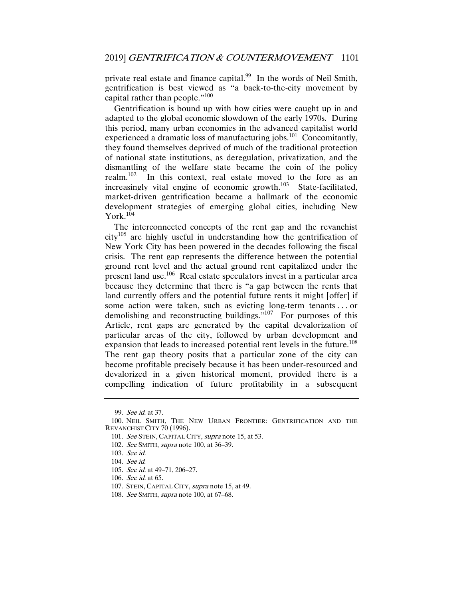private real estate and finance capital.<sup>99</sup> In the words of Neil Smith, gentrification is best viewed as "a back-to-the-city movement by capital rather than people."<sup>100</sup>

Gentrification is bound up with how cities were caught up in and adapted to the global economic slowdown of the early 1970s. During this period, many urban economies in the advanced capitalist world experienced a dramatic loss of manufacturing jobs.<sup>101</sup> Concomitantly, they found themselves deprived of much of the traditional protection of national state institutions, as deregulation, privatization, and the dismantling of the welfare state became the coin of the policy realm.<sup>102</sup> In this context, real estate moved to the fore as an increasingly vital engine of economic growth. $103$  State-facilitated, market-driven gentrification became a hallmark of the economic development strategies of emerging global cities, including New York. $1\overline{0}4$ 

The interconnected concepts of the rent gap and the revanchist  $city^{105}$  are highly useful in understanding how the gentrification of New York City has been powered in the decades following the fiscal crisis. The rent gap represents the difference between the potential ground rent level and the actual ground rent capitalized under the present land use.106 Real estate speculators invest in a particular area because they determine that there is "a gap between the rents that land currently offers and the potential future rents it might [offer] if some action were taken, such as evicting long-term tenants . . . or demolishing and reconstructing buildings."107 For purposes of this Article, rent gaps are generated by the capital devalorization of particular areas of the city, followed by urban development and expansion that leads to increased potential rent levels in the future.<sup>108</sup> The rent gap theory posits that a particular zone of the city can become profitable precisely because it has been under-resourced and devalorized in a given historical moment, provided there is a compelling indication of future profitability in a subsequent

<sup>99</sup>. See id. at 37.

 <sup>100.</sup> NEIL SMITH, THE NEW URBAN FRONTIER: GENTRIFICATION AND THE REVANCHIST CITY 70 (1996).

<sup>101.</sup> See STEIN, CAPITAL CITY, supra note 15, at 53.

<sup>102</sup>. See SMITH, supra note 100, at 36–39.

<sup>103</sup>. See id.

<sup>104</sup>. See id.

<sup>105</sup>. See id. at 49–71, 206–27.

<sup>106</sup>. See id. at 65.

 <sup>107.</sup> STEIN, CAPITAL CITY, supra note 15, at 49.

<sup>108</sup>. See SMITH, supra note 100, at 67–68.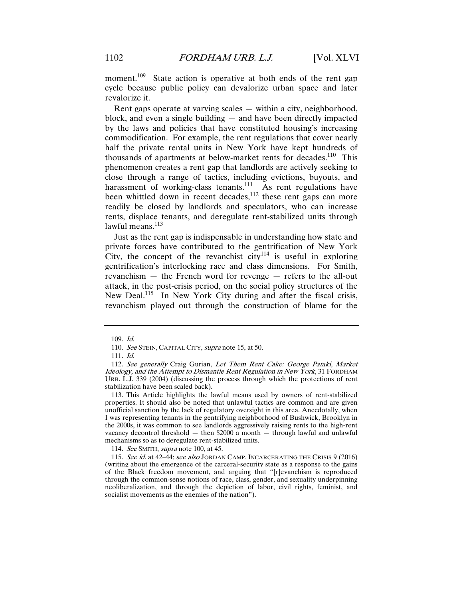moment.<sup>109</sup> State action is operative at both ends of the rent gap cycle because public policy can devalorize urban space and later revalorize it.

Rent gaps operate at varying scales — within a city, neighborhood, block, and even a single building — and have been directly impacted by the laws and policies that have constituted housing's increasing commodification. For example, the rent regulations that cover nearly half the private rental units in New York have kept hundreds of thousands of apartments at below-market rents for decades.<sup>110</sup> This phenomenon creates a rent gap that landlords are actively seeking to close through a range of tactics, including evictions, buyouts, and harassment of working-class tenants.<sup>111</sup> As rent regulations have been whittled down in recent decades, $112$  these rent gaps can more readily be closed by landlords and speculators, who can increase rents, displace tenants, and deregulate rent-stabilized units through  $lawful$  means. $113$ 

Just as the rent gap is indispensable in understanding how state and private forces have contributed to the gentrification of New York City, the concept of the revanchist city<sup>114</sup> is useful in exploring gentrification's interlocking race and class dimensions. For Smith, revanchism — the French word for revenge — refers to the all-out attack, in the post-crisis period, on the social policy structures of the New Deal.<sup>115</sup> In New York City during and after the fiscal crisis, revanchism played out through the construction of blame for the

 113. This Article highlights the lawful means used by owners of rent-stabilized properties. It should also be noted that unlawful tactics are common and are given unofficial sanction by the lack of regulatory oversight in this area. Anecdotally, when I was representing tenants in the gentrifying neighborhood of Bushwick, Brooklyn in the 2000s, it was common to see landlords aggressively raising rents to the high-rent vacancy decontrol threshold — then \$2000 a month — through lawful and unlawful mechanisms so as to deregulate rent-stabilized units.

<sup>109</sup>. Id.

<sup>110.</sup> See STEIN, CAPITAL CITY, supra note 15, at 50.

<sup>111</sup>. Id.

<sup>112</sup>. See generally Craig Gurian, Let Them Rent Cake: George Pataki, Market Ideology, and the Attempt to Dismantle Rent Regulation in New York, 31 FORDHAM URB. L.J. 339 (2004) (discussing the process through which the protections of rent stabilization have been scaled back).

<sup>114.</sup> See SMITH, supra note 100, at 45.

<sup>115.</sup> See id. at 42–44; see also JORDAN CAMP, INCARCERATING THE CRISIS 9 (2016) (writing about the emergence of the carceral-security state as a response to the gains of the Black freedom movement, and arguing that "[r]evanchism is reproduced through the common-sense notions of race, class, gender, and sexuality underpinning neoliberalization, and through the depiction of labor, civil rights, feminist, and socialist movements as the enemies of the nation").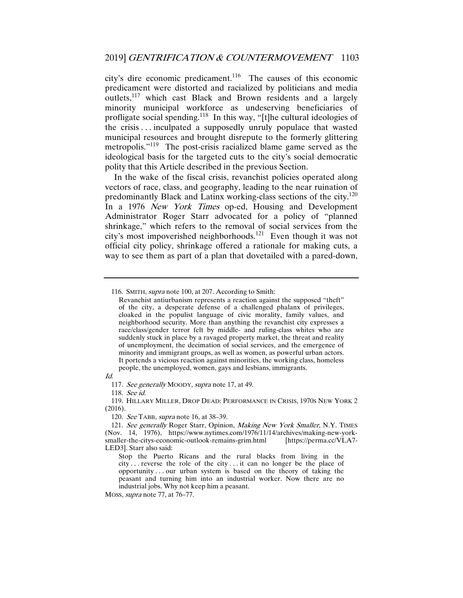city's dire economic predicament.<sup>116</sup> The causes of this economic predicament were distorted and racialized by politicians and media outlets,<sup>117</sup> which cast Black and Brown residents and a largely minority municipal workforce as undeserving beneficiaries of profligate social spending.118 In this way, "[t]he cultural ideologies of the crisis . . . inculpated a supposedly unruly populace that wasted municipal resources and brought disrepute to the formerly glittering metropolis."<sup>119</sup> The post-crisis racialized blame game served as the ideological basis for the targeted cuts to the city's social democratic polity that this Article described in the previous Section.

In the wake of the fiscal crisis, revanchist policies operated along vectors of race, class, and geography, leading to the near ruination of predominantly Black and Latinx working-class sections of the city.120 In a 1976 New York Times op-ed, Housing and Development Administrator Roger Starr advocated for a policy of "planned shrinkage," which refers to the removal of social services from the city's most impoverished neighborhoods.121 Even though it was not official city policy, shrinkage offered a rationale for making cuts, a way to see them as part of a plan that dovetailed with a pared-down,

116. SMITH, supra note 100, at 207. According to Smith:

117. See generally MOODY, supra note 17, at 49.

118. See id.

120. See TABB, supra note 16, at 38–39.

Revanchist antiurbanism represents a reaction against the supposed "theft" of the city, a desperate defense of a challenged phalanx of privileges, cloaked in the populist language of civic morality, family values, and neighborhood security. More than anything the revanchist city expresses a race/class/gender terror felt by middle- and ruling-class whites who are suddenly stuck in place by a ravaged property market, the threat and reality of unemployment, the decimation of social services, and the emergence of minority and immigrant groups, as well as women, as powerful urban actors. It portends a vicious reaction against minorities, the working class, homeless people, the unemployed, women, gays and lesbians, immigrants.

Id.

 <sup>119.</sup> HILLARY MILLER, DROP DEAD: PERFORMANCE IN CRISIS, 1970S NEW YORK 2 (2016).

<sup>121.</sup> See generally Roger Starr, Opinion, Making New York Smaller, N.Y. TIMES (Nov. 14, 1976), https://www.nytimes.com/1976/11/14/archives/making-new-yorksmaller-the-citys-economic-outlook-remains-grim.html [https://perma.cc/VLA7- LED3]. Starr also said:

Stop the Puerto Ricans and the rural blacks from living in the city . . . reverse the role of the city . . . it can no longer be the place of opportunity . . . our urban system is based on the theory of taking the peasant and turning him into an industrial worker. Now there are no industrial jobs. Why not keep him a peasant.

MOSS, supra note 77, at 76–77.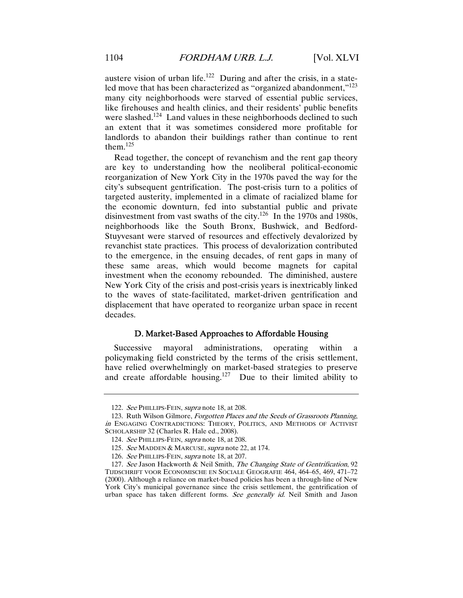austere vision of urban life.<sup>122</sup> During and after the crisis, in a stateled move that has been characterized as "organized abandonment,"<sup>123</sup> many city neighborhoods were starved of essential public services, like firehouses and health clinics, and their residents' public benefits were slashed.<sup>124</sup> Land values in these neighborhoods declined to such an extent that it was sometimes considered more profitable for landlords to abandon their buildings rather than continue to rent them. $125$ 

Read together, the concept of revanchism and the rent gap theory are key to understanding how the neoliberal political-economic reorganization of New York City in the 1970s paved the way for the city's subsequent gentrification. The post-crisis turn to a politics of targeted austerity, implemented in a climate of racialized blame for the economic downturn, fed into substantial public and private disinvestment from vast swaths of the city.126 In the 1970s and 1980s, neighborhoods like the South Bronx, Bushwick, and Bedford-Stuyvesant were starved of resources and effectively devalorized by revanchist state practices. This process of devalorization contributed to the emergence, in the ensuing decades, of rent gaps in many of these same areas, which would become magnets for capital investment when the economy rebounded. The diminished, austere New York City of the crisis and post-crisis years is inextricably linked to the waves of state-facilitated, market-driven gentrification and displacement that have operated to reorganize urban space in recent decades.

#### D. Market-Based Approaches to Affordable Housing

Successive mayoral administrations, operating within a policymaking field constricted by the terms of the crisis settlement, have relied overwhelmingly on market-based strategies to preserve and create affordable housing.<sup>127</sup> Due to their limited ability to

<sup>122</sup>. See PHILLIPS-FEIN, supra note 18, at 208.

 <sup>123.</sup> Ruth Wilson Gilmore, Forgotten Places and the Seeds of Grassroots Planning, in ENGAGING CONTRADICTIONS: THEORY, POLITICS, AND METHODS OF ACTIVIST SCHOLARSHIP 32 (Charles R. Hale ed., 2008).

<sup>124</sup>. See PHILLIPS-FEIN, supra note 18, at 208.

<sup>125.</sup> See MADDEN & MARCUSE, supra note 22, at 174.

<sup>126</sup>. See PHILLIPS-FEIN, supra note 18, at 207.

<sup>127.</sup> See Jason Hackworth & Neil Smith, *The Changing State of Gentrification*, 92 TIJDSCHRIFT VOOR ECONOMISCHE EN SOCIALE GEOGRAFIE 464, 464–65, 469, 471–72 (2000). Although a reliance on market-based policies has been a through-line of New York City's municipal governance since the crisis settlement, the gentrification of urban space has taken different forms. See generally id. Neil Smith and Jason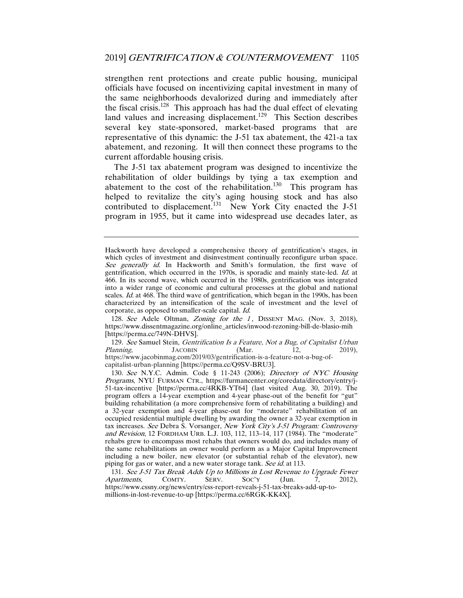strengthen rent protections and create public housing, municipal officials have focused on incentivizing capital investment in many of the same neighborhoods devalorized during and immediately after the fiscal crisis.<sup>128</sup> This approach has had the dual effect of elevating land values and increasing displacement.<sup>129</sup> This Section describes several key state-sponsored, market-based programs that are representative of this dynamic: the J-51 tax abatement, the 421-a tax abatement, and rezoning. It will then connect these programs to the current affordable housing crisis.

The J-51 tax abatement program was designed to incentivize the rehabilitation of older buildings by tying a tax exemption and abatement to the cost of the rehabilitation.<sup>130</sup> This program has helped to revitalize the city's aging housing stock and has also contributed to displacement.<sup>131</sup> New York City enacted the J-51 program in 1955, but it came into widespread use decades later, as

128. See Adele Oltman, Zoning for the 1, DISSENT MAG. (Nov. 3, 2018), https://www.dissentmagazine.org/online\_articles/inwood-rezoning-bill-de-blasio-mih [https://perma.cc/749N-DHVS].

129. See Samuel Stein, *Gentrification Is a Feature, Not a Bug, of Capitalist Urban Planning*, JACOBIN (Mar. 12, 2019), Planning, JACOBIN (Mar. 12, 2019), https://www.jacobinmag.com/2019/03/gentrification-is-a-feature-not-a-bug-ofcapitalist-urban-planning [https://perma.cc/Q9SV-BRU3].

130. See N.Y.C. Admin. Code § 11-243 (2006); Directory of NYC Housing Programs, NYU FURMAN CTR., https://furmancenter.org/coredata/directory/entry/j-51-tax-incentive [https://perma.cc/4RKB-YT64] (last visited Aug. 30, 2019). The program offers a 14-year exemption and 4-year phase-out of the benefit for "gut" building rehabilitation (a more comprehensive form of rehabilitating a building) and a 32-year exemption and 4-year phase-out for "moderate" rehabilitation of an occupied residential multiple dwelling by awarding the owner a 32-year exemption in tax increases. See Debra S. Vorsanger, New York City's J-51 Program: Controversy and Revision, 12 FORDHAM URB. L.J. 103, 112, 113-14, 117 (1984). The "moderate" rehabs grew to encompass most rehabs that owners would do, and includes many of the same rehabilitations an owner would perform as a Major Capital Improvement including a new boiler, new elevator (or substantial rehab of the elevator), new piping for gas or water, and a new water storage tank. See id. at 113.

131. See J-51 Tax Break Adds Up to Millions in Lost Revenue to Upgrade Fewer partments, COMTY. SERV. SOC'Y (Jun. 7, 2012), Apartments, COMTY. SERV. SOC'Y (Jun. 7, 2012), https://www.cssny.org/news/entry/css-report-reveals-j-51-tax-breaks-add-up-tomillions-in-lost-revenue-to-up [https://perma.cc/6RGK-KK4X].

Hackworth have developed a comprehensive theory of gentrification's stages, in which cycles of investment and disinvestment continually reconfigure urban space. See generally id. In Hackworth and Smith's formulation, the first wave of gentrification, which occurred in the 1970s, is sporadic and mainly state-led. Id. at 466. In its second wave, which occurred in the 1980s, gentrification was integrated into a wider range of economic and cultural processes at the global and national scales. Id. at 468. The third wave of gentrification, which began in the 1990s, has been characterized by an intensification of the scale of investment and the level of corporate, as opposed to smaller-scale capital. Id.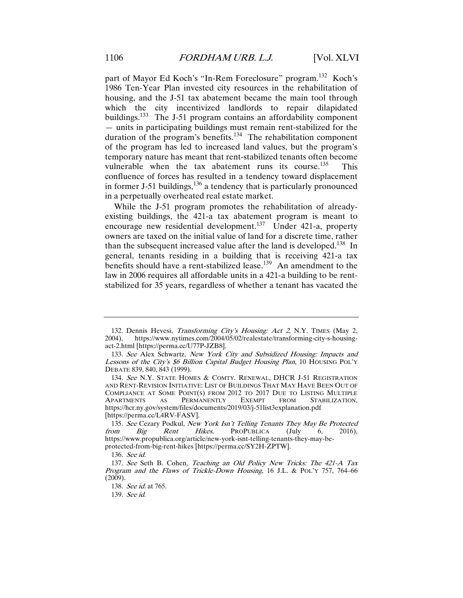part of Mayor Ed Koch's "In-Rem Foreclosure" program.132 Koch's 1986 Ten-Year Plan invested city resources in the rehabilitation of housing, and the J-51 tax abatement became the main tool through which the city incentivized landlords to repair dilapidated buildings.<sup>133</sup> The J-51 program contains an affordability component — units in participating buildings must remain rent-stabilized for the duration of the program's benefits. $134$  The rehabilitation component of the program has led to increased land values, but the program's temporary nature has meant that rent-stabilized tenants often become vulnerable when the tax abatement runs its course.<sup>135</sup> This confluence of forces has resulted in a tendency toward displacement in former J-51 buildings,  $136$  a tendency that is particularly pronounced in a perpetually overheated real estate market.

While the J-51 program promotes the rehabilitation of alreadyexisting buildings, the 421-a tax abatement program is meant to encourage new residential development.<sup>137</sup> Under 421-a, property owners are taxed on the initial value of land for a discrete time, rather than the subsequent increased value after the land is developed.<sup>138</sup> In general, tenants residing in a building that is receiving 421-a tax benefits should have a rent-stabilized lease.<sup>139</sup> An amendment to the law in 2006 requires all affordable units in a 421-a building to be rentstabilized for 35 years, regardless of whether a tenant has vacated the

<sup>132.</sup> Dennis Hevesi, *Transforming City's Housing: Act 2*, N.Y. TIMES (May 2, 2004), https://www.nytimes.com/2004/05/02/realestate/transforming-city-s-housingact-2.html [https://perma.cc/U77P-JZB8].

<sup>133</sup>. See Alex Schwartz, New York City and Subsidized Housing: Impacts and Lessons of the City's \$6 Billion Capital Budget Housing Plan, 10 HOUSING POL'Y DEBATE 839, 840, 843 (1999).

<sup>134</sup>. See N.Y. STATE HOMES & COMTY. RENEWAL, DHCR J-51 REGISTRATION AND RENT-REVISION INITIATIVE: LIST OF BUILDINGS THAT MAY HAVE BEEN OUT OF COMPLIANCE AT SOME POINT(S) FROM 2012 TO 2017 DUE TO LISTING MULTIPLE APARTMENTS AS PERMANENTLY EXEMPT FROM STABILIZATION, https://hcr.ny.gov/system/files/documents/2019/03/j-51list3explanation.pdf [https://perma.cc/L4RV-FASV].

<sup>135.</sup> See Cezary Podkul, New York Isn't Telling Tenants They May Be Protected from Big Rent Hikes, PROPUBLICA (July 6, 2016),  $PROPUBLICA$  (July 6, 2016), https://www.propublica.org/article/new-york-isnt-telling-tenants-they-may-beprotected-from-big-rent-hikes [https://perma.cc/SY2H-ZPTW].

<sup>136</sup>. See id.

<sup>137</sup>. See Seth B. Cohen, Teaching an Old Policy New Tricks: The 421-A Tax Program and the Flaws of Trickle-Down Housing, 16 J.L. & POL'Y 757, 764–66 (2009).

<sup>138</sup>. See id. at 765.

<sup>139</sup>. See id.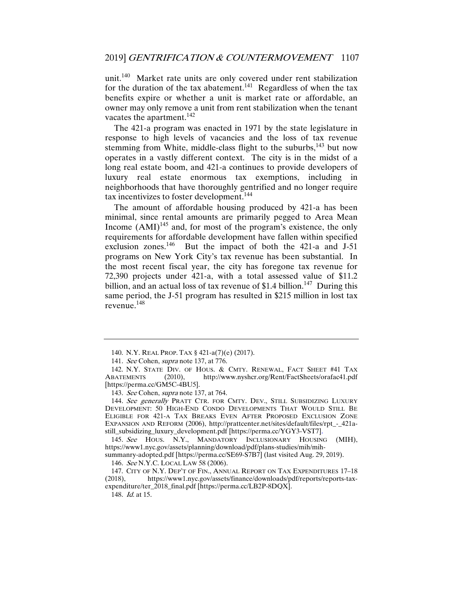unit.<sup>140</sup> Market rate units are only covered under rent stabilization for the duration of the tax abatement.<sup>141</sup> Regardless of when the tax benefits expire or whether a unit is market rate or affordable, an owner may only remove a unit from rent stabilization when the tenant vacates the apartment.<sup>142</sup>

The 421-a program was enacted in 1971 by the state legislature in response to high levels of vacancies and the loss of tax revenue stemming from White, middle-class flight to the suburbs,  $143$  but now operates in a vastly different context. The city is in the midst of a long real estate boom, and 421-a continues to provide developers of luxury real estate enormous tax exemptions, including in neighborhoods that have thoroughly gentrified and no longer require tax incentivizes to foster development.<sup>144</sup>

The amount of affordable housing produced by 421-a has been minimal, since rental amounts are primarily pegged to Area Mean Income  $(AMI)^{145}$  and, for most of the program's existence, the only requirements for affordable development have fallen within specified exclusion zones. $146$  But the impact of both the 421-a and J-51 programs on New York City's tax revenue has been substantial. In the most recent fiscal year, the city has foregone tax revenue for 72,390 projects under 421-a, with a total assessed value of \$11.2 billion, and an actual loss of tax revenue of \$1.4 billion.<sup>147</sup> During this same period, the J-51 program has resulted in \$215 million in lost tax revenue.<sup>148</sup>

145. See HOUS. N.Y., MANDATORY INCLUSIONARY HOUSING (MIH), https://www1.nyc.gov/assets/planning/download/pdf/plans-studies/mih/mih-

summanry-adopted.pdf [https://perma.cc/SE69-S7B7] (last visited Aug. 29, 2019). 146. See N.Y.C. LOCAL LAW 58 (2006).

 147. CITY OF N.Y. DEP'T OF FIN., ANNUAL REPORT ON TAX EXPENDITURES 17–18 (2018), https://www1.nyc.gov/assets/finance/downloads/pdf/reports/reports-taxexpenditure/ter\_2018\_final.pdf [https://perma.cc/LB2P-8DQX].

148. Id. at 15.

 <sup>140.</sup> N.Y. REAL PROP. TAX § 421-a(7)(e) (2017).

<sup>141</sup>. See Cohen, supra note 137, at 776.

 <sup>142.</sup> N.Y. STATE DIV. OF HOUS. & CMTY. RENEWAL, FACT SHEET #41 TAX ABATEMENTS (2010), http://www.nyshcr.org/Rent/FactSheets/orafac41.pdf [https://perma.cc/GM5C-4BU5].

<sup>143</sup>. See Cohen, supra note 137, at 764.

<sup>144.</sup> See generally PRATT CTR. FOR CMTY. DEV., STILL SUBSIDIZING LUXURY DEVELOPMENT: 50 HIGH-END CONDO DEVELOPMENTS THAT WOULD STILL BE ELIGIBLE FOR 421-A TAX BREAKS EVEN AFTER PROPOSED EXCLUSION ZONE EXPANSION AND REFORM (2006), http://prattcenter.net/sites/default/files/rpt\_-\_421astill\_subsidizing\_luxury\_development.pdf [https://perma.cc/YGY3-VST7].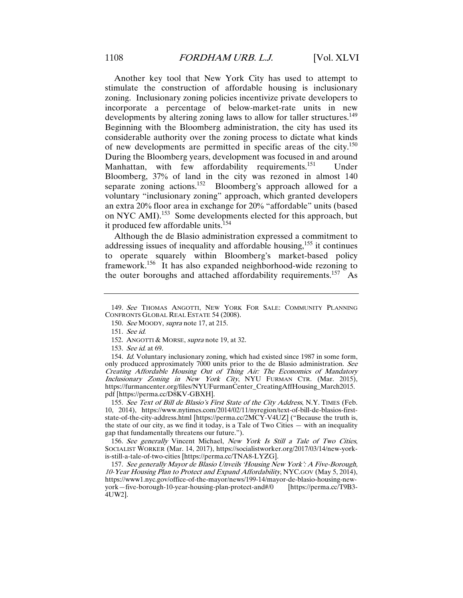Another key tool that New York City has used to attempt to stimulate the construction of affordable housing is inclusionary zoning. Inclusionary zoning policies incentivize private developers to incorporate a percentage of below-market-rate units in new developments by altering zoning laws to allow for taller structures.<sup>149</sup> Beginning with the Bloomberg administration, the city has used its considerable authority over the zoning process to dictate what kinds of new developments are permitted in specific areas of the city.<sup>150</sup> During the Bloomberg years, development was focused in and around Manhattan, with few affordability requirements.<sup>151</sup> Under Bloomberg, 37% of land in the city was rezoned in almost 140 separate zoning actions.<sup>152</sup> Bloomberg's approach allowed for a voluntary "inclusionary zoning" approach, which granted developers an extra 20% floor area in exchange for 20% "affordable" units (based on NYC AMI).153 Some developments elected for this approach, but it produced few affordable units.<sup>154</sup>

Although the de Blasio administration expressed a commitment to addressing issues of inequality and affordable housing,  $155$  it continues to operate squarely within Bloomberg's market-based policy framework.<sup>156</sup> It has also expanded neighborhood-wide rezoning to the outer boroughs and attached affordability requirements.<sup>157</sup> As

153. See id. at 69.

154. Id. Voluntary inclusionary zoning, which had existed since 1987 in some form, only produced approximately 7000 units prior to the de Blasio administration. See Creating Affordable Housing Out of Thing Air: The Economics of Mandatory Inclusionary Zoning in New York City, NYU FURMAN CTR. (Mar. 2015), https://furmancenter.org/files/NYUFurmanCenter\_CreatingAffHousing\_March2015. pdf [https://perma.cc/D8KV-GBXH].

155. See Text of Bill de Blasio's First State of the City Address, N.Y. TIMES (Feb. 10, 2014), https://www.nytimes.com/2014/02/11/nyregion/text-of-bill-de-blasios-firststate-of-the-city-address.html [https://perma.cc/2MCY-V4UZ] ("Because the truth is, the state of our city, as we find it today, is a Tale of Two Cities — with an inequality gap that fundamentally threatens our future.").

156. See generally Vincent Michael, New York Is Still a Tale of Two Cities, SOCIALIST WORKER (Mar. 14, 2017), https://socialistworker.org/2017/03/14/new-yorkis-still-a-tale-of-two-cities [https://perma.cc/TNA8-LYZG].

157. See generally Mayor de Blasio Unveils 'Housing New York': A Five-Borough, 10-Year Housing Plan to Protect and Expand Affordability, NYC.GOV (May 5, 2014), https://www1.nyc.gov/office-of-the-mayor/news/199-14/mayor-de-blasio-housing-newyork—five-borough-10-year-housing-plan-protect-and#/0 [https://perma.cc/T9B3- 4UW2].

<sup>149</sup>. See THOMAS ANGOTTI, NEW YORK FOR SALE: COMMUNITY PLANNING CONFRONTS GLOBAL REAL ESTATE 54 (2008).

<sup>150</sup>. See MOODY, supra note 17, at 215.

<sup>151</sup>. See id.

<sup>152.</sup> ANGOTTI & MORSE, *supra* note 19, at 32.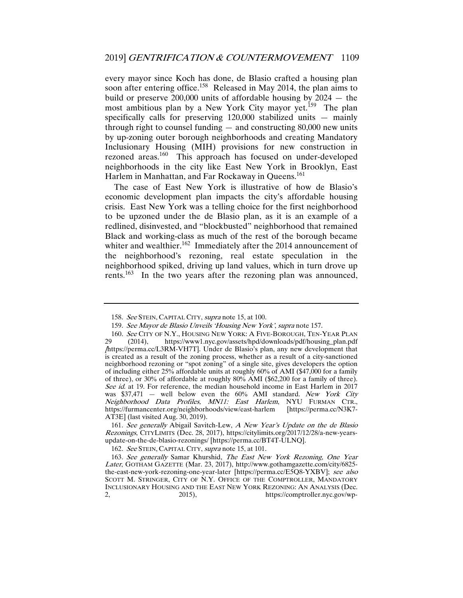every mayor since Koch has done, de Blasio crafted a housing plan soon after entering office.<sup>158</sup> Released in May 2014, the plan aims to build or preserve 200,000 units of affordable housing by 2024 — the most ambitious plan by a New York City mayor yet.<sup>159</sup> The plan specifically calls for preserving 120,000 stabilized units — mainly through right to counsel funding — and constructing 80,000 new units by up-zoning outer borough neighborhoods and creating Mandatory Inclusionary Housing (MIH) provisions for new construction in rezoned areas.<sup>160</sup> This approach has focused on under-developed neighborhoods in the city like East New York in Brooklyn, East Harlem in Manhattan, and Far Rockaway in Queens.<sup>161</sup>

The case of East New York is illustrative of how de Blasio's economic development plan impacts the city's affordable housing crisis. East New York was a telling choice for the first neighborhood to be upzoned under the de Blasio plan, as it is an example of a redlined, disinvested, and "blockbusted" neighborhood that remained Black and working-class as much of the rest of the borough became whiter and wealthier.<sup>162</sup> Immediately after the 2014 announcement of the neighborhood's rezoning, real estate speculation in the neighborhood spiked, driving up land values, which in turn drove up rents.163 In the two years after the rezoning plan was announced,

<sup>158.</sup> See STEIN, CAPITAL CITY, *supra* note 15, at 100.

<sup>159</sup>. See Mayor de Blasio Unveils 'Housing New York', supra note 157.

<sup>160.</sup> See CITY OF N.Y., HOUSING NEW YORK: A FIVE-BOROUGH, TEN-YEAR PLAN<br>29 (2014), https://www1.nyc.gov/assets/hpd/downloads/pdf/housing\_plan.pdf 29 (2014), https://www1.nyc.gov/assets/hpd/downloads/pdf/housing\_plan.pdf [https://perma.cc/L3RM-VH7T]. Under de Blasio's plan, any new development that is created as a result of the zoning process, whether as a result of a city-sanctioned neighborhood rezoning or "spot zoning" of a single site, gives developers the option of including either 25% affordable units at roughly 60% of AMI (\$47,000 for a family of three), or 30% of affordable at roughly 80% AMI (\$62,200 for a family of three). See id. at 19. For reference, the median household income in East Harlem in 2017 was \$37,471 - well below even the 60% AMI standard. New York City Neighborhood Data Profiles, MN11: East Harlem, NYU FURMAN CTR., https://furmancenter.org/neighborhoods/view/east-harlem [https://perma.cc/N3K7https://furmancenter.org/neighborhoods/view/east-harlem AT3E] (last visited Aug. 30, 2019).

<sup>161</sup>. See generally Abigail Savitch-Lew, A New Year's Update on the de Blasio Rezonings, CITYLIMITS (Dec. 28, 2017), https://citylimits.org/2017/12/28/a-new-yearsupdate-on-the-de-blasio-rezonings/ [https://perma.cc/BT4T-ULNQ].

<sup>162</sup>. See STEIN, CAPITAL CITY, supra note 15, at 101.

<sup>163</sup>. See generally Samar Khurshid, The East New York Rezoning, One Year Later, GOTHAM GAZETTE (Mar. 23, 2017), http://www.gothamgazette.com/city/6825 the-east-new-york-rezoning-one-year-later [https://perma.cc/E5Q8-YXBV]; see also SCOTT M. STRINGER, CITY OF N.Y. OFFICE OF THE COMPTROLLER, MANDATORY INCLUSIONARY HOUSING AND THE EAST NEW YORK REZONING: AN ANALYSIS (Dec. 2, 2015), https://comptroller.nyc.gov/wp-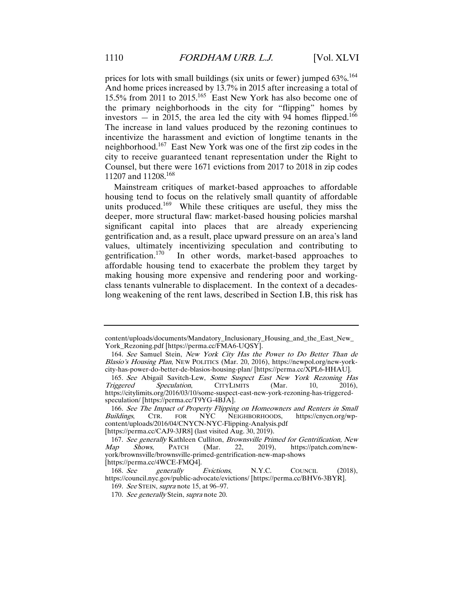prices for lots with small buildings (six units or fewer) jumped  $63\%$ <sup>164</sup> And home prices increased by 13.7% in 2015 after increasing a total of 15.5% from 2011 to 2015.165 East New York has also become one of the primary neighborhoods in the city for "flipping" homes by investors  $-$  in 2015, the area led the city with 94 homes flipped.<sup>166</sup> The increase in land values produced by the rezoning continues to incentivize the harassment and eviction of longtime tenants in the neighborhood.<sup>167</sup> East New York was one of the first zip codes in the city to receive guaranteed tenant representation under the Right to Counsel, but there were 1671 evictions from 2017 to 2018 in zip codes 11207 and 11208.<sup>168</sup>

Mainstream critiques of market-based approaches to affordable housing tend to focus on the relatively small quantity of affordable units produced.<sup>169</sup> While these critiques are useful, they miss the deeper, more structural flaw: market-based housing policies marshal significant capital into places that are already experiencing gentrification and, as a result, place upward pressure on an area's land values, ultimately incentivizing speculation and contributing to gentrification.<sup>170</sup> In other words, market-based approaches to In other words, market-based approaches to affordable housing tend to exacerbate the problem they target by making housing more expensive and rendering poor and workingclass tenants vulnerable to displacement. In the context of a decadeslong weakening of the rent laws, described in Section I.B, this risk has

content/uploads/documents/Mandatory\_Inclusionary\_Housing\_and\_the\_East\_New\_ York\_Rezoning.pdf [https://perma.cc/FMA6-UQSY].

<sup>164</sup>. See Samuel Stein, New York City Has the Power to Do Better Than de Blasio's Housing Plan, NEW POLITICS (Mar. 20, 2016), https://newpol.org/new-yorkcity-has-power-do-better-de-blasios-housing-plan/ [https://perma.cc/XPL6-HHAU].

<sup>165.</sup> See Abigail Savitch-Lew, Some Suspect East New York Rezoning Has Triggered Speculation, CITYLIMITS (Mar. 10, 2016), Speculation, https://citylimits.org/2016/03/10/some-suspect-east-new-york-rezoning-has-triggeredspeculation/ [https://perma.cc/T9YG-4BJA].

<sup>166</sup>. See The Impact of Property Flipping on Homeowners and Renters in Small Buildings, CTR. FOR NYC NEIGHBORHOODS, https://cnycn.org/wpcontent/uploads/2016/04/CNYCN-NYC-Flipping-Analysis.pdf

<sup>[</sup>https://perma.cc/CAJ9-3JR8] (last visited Aug. 30, 2019).

<sup>167.</sup> See generally Kathleen Culliton, Brownsville Primed for Gentrification, New Map Shows, PATCH (Mar. 22, 2019), https://patch.com/newhttps://patch.com/newyork/brownsville/brownsville-primed-gentrification-new-map-shows [https://perma.cc/4WCE-FMQ4].

<sup>168.</sup> See generally Evictions, N.Y.C. COUNCIL (2018), https://council.nyc.gov/public-advocate/evictions/ [https://perma.cc/BHV6-3BYR].

<sup>169</sup>. See STEIN, supra note 15, at 96–97.

<sup>170.</sup> See generally Stein, supra note 20.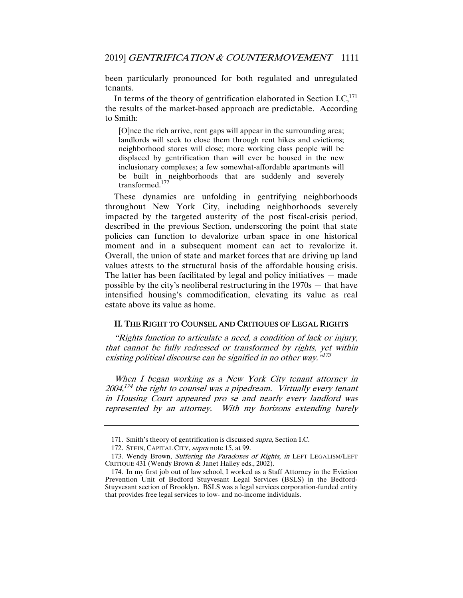been particularly pronounced for both regulated and unregulated tenants.

In terms of the theory of gentrification elaborated in Section I.C.<sup>171</sup> the results of the market-based approach are predictable. According to Smith:

[O]nce the rich arrive, rent gaps will appear in the surrounding area; landlords will seek to close them through rent hikes and evictions; neighborhood stores will close; more working class people will be displaced by gentrification than will ever be housed in the new inclusionary complexes; a few somewhat-affordable apartments will be built in neighborhoods that are suddenly and severely transformed.172

These dynamics are unfolding in gentrifying neighborhoods throughout New York City, including neighborhoods severely impacted by the targeted austerity of the post fiscal-crisis period, described in the previous Section, underscoring the point that state policies can function to devalorize urban space in one historical moment and in a subsequent moment can act to revalorize it. Overall, the union of state and market forces that are driving up land values attests to the structural basis of the affordable housing crisis. The latter has been facilitated by legal and policy initiatives — made possible by the city's neoliberal restructuring in the 1970s — that have intensified housing's commodification, elevating its value as real estate above its value as home.

#### II. THE RIGHT TO COUNSEL AND CRITIQUES OF LEGAL RIGHTS

"Rights function to articulate a need, a condition of lack or injury, that cannot be fully redressed or transformed by rights, yet within existing political discourse can be signified in no other way.<sup>"173</sup>

When I began working as a New York City tenant attorney in  $2004<sup>174</sup>$  the right to counsel was a pipedream. Virtually every tenant in Housing Court appeared pro se and nearly every landlord was represented by an attorney. With my horizons extending barely

<sup>171.</sup> Smith's theory of gentrification is discussed *supra*, Section I.C.

<sup>172.</sup> STEIN, CAPITAL CITY, supra note 15, at 99.

<sup>173.</sup> Wendy Brown, Suffering the Paradoxes of Rights, in LEFT LEGALISM/LEFT CRITIQUE 431 (Wendy Brown & Janet Halley eds., 2002).

 <sup>174.</sup> In my first job out of law school, I worked as a Staff Attorney in the Eviction Prevention Unit of Bedford Stuyvesant Legal Services (BSLS) in the Bedford-Stuyvesant section of Brooklyn. BSLS was a legal services corporation-funded entity that provides free legal services to low- and no-income individuals.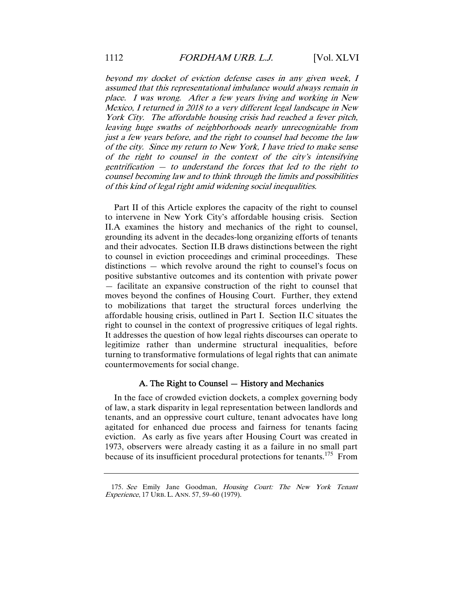beyond my docket of eviction defense cases in any given week, I assumed that this representational imbalance would always remain in place. I was wrong. After a few years living and working in New Mexico, I returned in 2018 to a very different legal landscape in New York City. The affordable housing crisis had reached a fever pitch, leaving huge swaths of neighborhoods nearly unrecognizable from just a few years before, and the right to counsel had become the law of the city. Since my return to New York, I have tried to make sense of the right to counsel in the context of the city's intensifying gentrification  $-$  to understand the forces that led to the right to counsel becoming law and to think through the limits and possibilities of this kind of legal right amid widening social inequalities.

Part II of this Article explores the capacity of the right to counsel to intervene in New York City's affordable housing crisis. Section II.A examines the history and mechanics of the right to counsel, grounding its advent in the decades-long organizing efforts of tenants and their advocates. Section II.B draws distinctions between the right to counsel in eviction proceedings and criminal proceedings. These distinctions — which revolve around the right to counsel's focus on positive substantive outcomes and its contention with private power — facilitate an expansive construction of the right to counsel that moves beyond the confines of Housing Court. Further, they extend to mobilizations that target the structural forces underlying the affordable housing crisis, outlined in Part I. Section II.C situates the right to counsel in the context of progressive critiques of legal rights. It addresses the question of how legal rights discourses can operate to legitimize rather than undermine structural inequalities, before turning to transformative formulations of legal rights that can animate countermovements for social change.

#### A. The Right to Counsel — History and Mechanics

In the face of crowded eviction dockets, a complex governing body of law, a stark disparity in legal representation between landlords and tenants, and an oppressive court culture, tenant advocates have long agitated for enhanced due process and fairness for tenants facing eviction. As early as five years after Housing Court was created in 1973, observers were already casting it as a failure in no small part because of its insufficient procedural protections for tenants.<sup>175</sup> From

<sup>175</sup>. See Emily Jane Goodman, Housing Court: The New York Tenant Experience, 17 URB. L. ANN. 57, 59–60 (1979).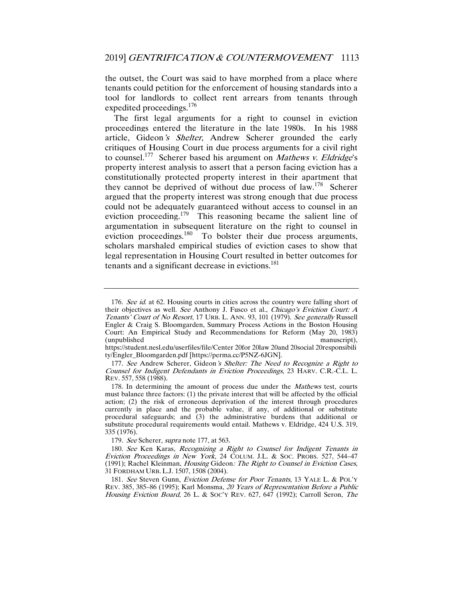the outset, the Court was said to have morphed from a place where tenants could petition for the enforcement of housing standards into a tool for landlords to collect rent arrears from tenants through expedited proceedings.<sup>176</sup>

The first legal arguments for a right to counsel in eviction proceedings entered the literature in the late 1980s. In his 1988 article, Gideon's Shelter, Andrew Scherer grounded the early critiques of Housing Court in due process arguments for a civil right to counsel.<sup>177</sup> Scherer based his argument on *Mathews v. Eldridge's* property interest analysis to assert that a person facing eviction has a constitutionally protected property interest in their apartment that they cannot be deprived of without due process of law.<sup>178</sup> Scherer argued that the property interest was strong enough that due process could not be adequately guaranteed without access to counsel in an eviction proceeding.<sup>179</sup> This reasoning became the salient line of argumentation in subsequent literature on the right to counsel in eviction proceedings.<sup>180</sup> To bolster their due process arguments, scholars marshaled empirical studies of eviction cases to show that legal representation in Housing Court resulted in better outcomes for tenants and a significant decrease in evictions.<sup>181</sup>

179. See Scherer, supra note 177, at 563.

<sup>176.</sup> See id. at 62. Housing courts in cities across the country were falling short of their objectives as well. See Anthony J. Fusco et al., Chicago's Eviction Court: A Tenants' Court of No Resort, 17 URB. L. ANN. 93, 101 (1979). See generally Russell Engler & Craig S. Bloomgarden, Summary Process Actions in the Boston Housing Court: An Empirical Study and Recommendations for Reform (May 20, 1983) (unpublished

https://student.nesl.edu/userfiles/file/Center 20for 20law 20and 20social 20responsibili ty/Engler\_Bloomgarden.pdf [https://perma.cc/P5NZ-6JGN].

<sup>177.</sup> See Andrew Scherer, Gideon's Shelter: The Need to Recognize a Right to Counsel for Indigent Defendants in Eviction Proceedings, 23 HARV. C.R.-C.L. L. REV. 557, 558 (1988).

<sup>178.</sup> In determining the amount of process due under the Mathews test, courts must balance three factors: (1) the private interest that will be affected by the official action; (2) the risk of erroneous deprivation of the interest through procedures currently in place and the probable value, if any, of additional or substitute procedural safeguards; and (3) the administrative burdens that additional or substitute procedural requirements would entail. Mathews v. Eldridge, 424 U.S. 319, 335 (1976).

<sup>180</sup>. See Ken Karas, Recognizing a Right to Counsel for Indigent Tenants in Eviction Proceedings in New York, 24 COLUM. J.L. & SOC. PROBS. 527, 544–47 (1991); Rachel Kleinman, Housing Gideon: The Right to Counsel in Eviction Cases, 31 FORDHAM URB. L.J. 1507, 1508 (2004).

<sup>181</sup>. See Steven Gunn, Eviction Defense for Poor Tenants, 13 YALE L. & POL'Y REV. 385, 385–86 (1995); Karl Monsma, 20 Years of Representation Before a Public Housing Eviction Board, 26 L. & Soc'y Rev. 627, 647 (1992); Carroll Seron, The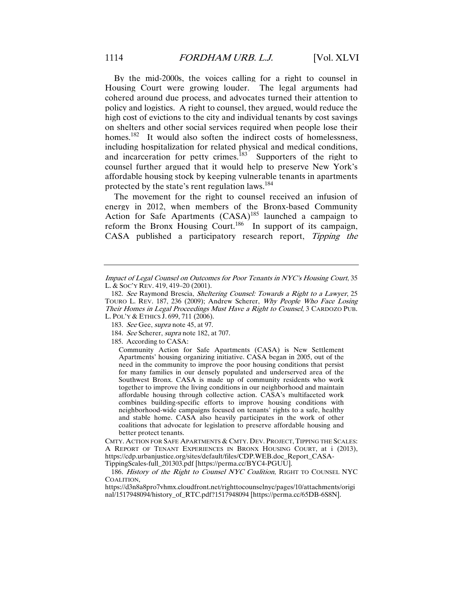By the mid-2000s, the voices calling for a right to counsel in Housing Court were growing louder. The legal arguments had cohered around due process, and advocates turned their attention to policy and logistics. A right to counsel, they argued, would reduce the high cost of evictions to the city and individual tenants by cost savings on shelters and other social services required when people lose their homes.<sup>182</sup> It would also soften the indirect costs of homelessness, including hospitalization for related physical and medical conditions, and incarceration for petty crimes.<sup>183</sup> Supporters of the right to counsel further argued that it would help to preserve New York's affordable housing stock by keeping vulnerable tenants in apartments protected by the state's rent regulation laws.<sup>184</sup>

The movement for the right to counsel received an infusion of energy in 2012, when members of the Bronx-based Community Action for Safe Apartments (CASA)<sup>185</sup> launched a campaign to reform the Bronx Housing Court.<sup>186</sup> In support of its campaign, CASA published a participatory research report, Tipping the

CMTY. ACTION FOR SAFE APARTMENTS & CMTY. DEV. PROJECT, TIPPING THE SCALES: A REPORT OF TENANT EXPERIENCES IN BRONX HOUSING COURT, at i (2013), https://cdp.urbanjustice.org/sites/default/files/CDP.WEB.doc\_Report\_CASA-TippingScales-full\_201303.pdf [https://perma.cc/BYC4-PGUU].

186. History of the Right to Counsel NYC Coalition, RIGHT TO COUNSEL NYC COALITION,

https://d3n8a8pro7vhmx.cloudfront.net/righttocounselnyc/pages/10/attachments/origi nal/1517948094/history\_of\_RTC.pdf?1517948094 [https://perma.cc/65DB-6S8N].

Impact of Legal Counsel on Outcomes for Poor Tenants in NYC's Housing Court, 35 L. & SOC'Y REV. 419, 419–20 (2001).

<sup>182</sup>. See Raymond Brescia, Sheltering Counsel: Towards a Right to a Lawyer, 25 TOURO L. REV. 187, 236 (2009); Andrew Scherer, Why People Who Face Losing Their Homes in Legal Proceedings Must Have a Right to Counsel, 3 CARDOZO PUB. L. POL'Y & ETHICS J. 699, 711 (2006).

<sup>183.</sup> See Gee, supra note 45, at 97.

<sup>184</sup>. See Scherer, supra note 182, at 707.

 <sup>185.</sup> According to CASA:

Community Action for Safe Apartments (CASA) is New Settlement Apartments' housing organizing initiative. CASA began in 2005, out of the need in the community to improve the poor housing conditions that persist for many families in our densely populated and underserved area of the Southwest Bronx. CASA is made up of community residents who work together to improve the living conditions in our neighborhood and maintain affordable housing through collective action. CASA's multifaceted work combines building-specific efforts to improve housing conditions with neighborhood-wide campaigns focused on tenants' rights to a safe, healthy and stable home. CASA also heavily participates in the work of other coalitions that advocate for legislation to preserve affordable housing and better protect tenants.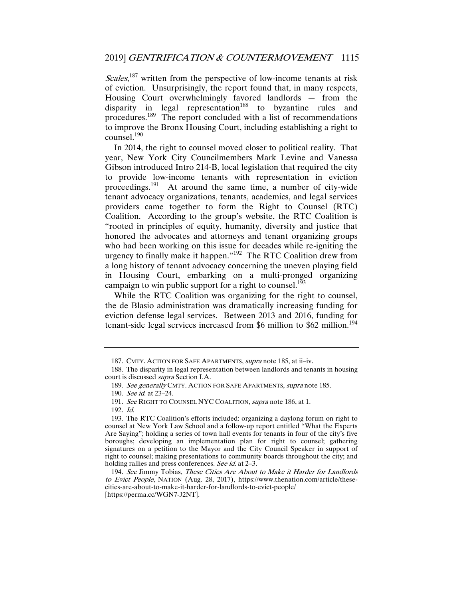Scales,<sup>187</sup> written from the perspective of low-income tenants at risk of eviction. Unsurprisingly, the report found that, in many respects, Housing Court overwhelmingly favored landlords — from the disparity in legal representation<sup>188</sup> to byzantine rules and procedures.<sup>189</sup> The report concluded with a list of recommendations to improve the Bronx Housing Court, including establishing a right to counsel.<sup>190</sup>

In 2014, the right to counsel moved closer to political reality. That year, New York City Councilmembers Mark Levine and Vanessa Gibson introduced Intro 214-B, local legislation that required the city to provide low-income tenants with representation in eviction proceedings.191 At around the same time, a number of city-wide tenant advocacy organizations, tenants, academics, and legal services providers came together to form the Right to Counsel (RTC) Coalition. According to the group's website, the RTC Coalition is "rooted in principles of equity, humanity, diversity and justice that honored the advocates and attorneys and tenant organizing groups who had been working on this issue for decades while re-igniting the urgency to finally make it happen."192 The RTC Coalition drew from a long history of tenant advocacy concerning the uneven playing field in Housing Court, embarking on a multi-pronged organizing campaign to win public support for a right to counsel.<sup>193</sup>

While the RTC Coalition was organizing for the right to counsel, the de Blasio administration was dramatically increasing funding for eviction defense legal services. Between 2013 and 2016, funding for tenant-side legal services increased from \$6 million to \$62 million.<sup>194</sup>

 <sup>187.</sup> CMTY. ACTION FOR SAFE APARTMENTS, supra note 185, at ii–iv.

 <sup>188.</sup> The disparity in legal representation between landlords and tenants in housing court is discussed supra Section I.A.

<sup>189.</sup> See generally CMTY. ACTION FOR SAFE APARTMENTS, supra note 185.

<sup>190</sup>. See id. at 23–24.

<sup>191</sup>. See RIGHT TO COUNSEL NYC COALITION, supra note 186, at 1.

<sup>192</sup>. Id.

 <sup>193.</sup> The RTC Coalition's efforts included: organizing a daylong forum on right to counsel at New York Law School and a follow-up report entitled "What the Experts Are Saying"; holding a series of town hall events for tenants in four of the city's five boroughs; developing an implementation plan for right to counsel; gathering signatures on a petition to the Mayor and the City Council Speaker in support of right to counsel; making presentations to community boards throughout the city; and holding rallies and press conferences. See id. at 2-3.

<sup>194</sup>. See Jimmy Tobias, These Cities Are About to Make it Harder for Landlords to Evict People, NATION (Aug. 28, 2017), https://www.thenation.com/article/thesecities-are-about-to-make-it-harder-for-landlords-to-evict-people/ [https://perma.cc/WGN7-J2NT].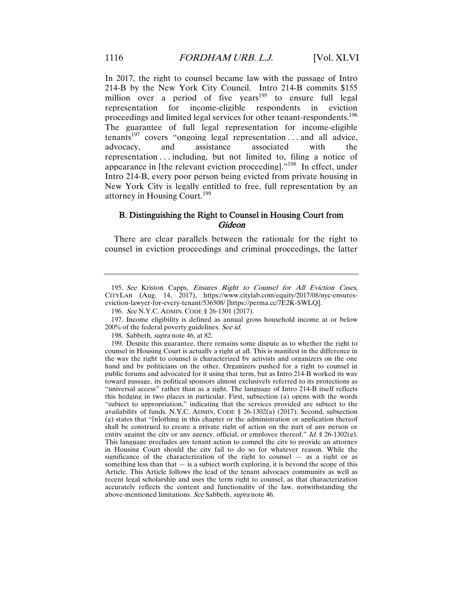In 2017, the right to counsel became law with the passage of Intro 214-B by the New York City Council. Intro 214-B commits \$155 million over a period of five years<sup>195</sup> to ensure full legal representation for income-eligible respondents in eviction proceedings and limited legal services for other tenant-respondents.<sup>196</sup> The guarantee of full legal representation for income-eligible tenants<sup>197</sup> covers "ongoing legal representation ... and all advice, advocacy, and assistance associated with the representation . . . including, but not limited to, filing a notice of appearance in [the relevant eviction proceeding]."198 In effect, under Intro 214-B, every poor person being evicted from private housing in New York City is legally entitled to free, full representation by an attorney in Housing Court.<sup>199</sup>

#### B. Distinguishing the Right to Counsel in Housing Court from **Gideon**

There are clear parallels between the rationale for the right to counsel in eviction proceedings and criminal proceedings, the latter

<sup>195</sup>. See Kriston Capps, Ensures Right to Counsel for All Eviction Cases, CITYLAB (Aug. 14, 2017), https://www.citylab.com/equity/2017/08/nyc-ensureseviction-lawyer-for-every-tenant/536508/ [https://perma.cc/7E2K-SWLQ].

<sup>196</sup>. See N.Y.C. ADMIN. CODE § 26-1301 (2017).

 <sup>197.</sup> Income eligibility is defined as annual gross household income at or below 200% of the federal poverty guidelines. See id.

 <sup>198.</sup> Sabbeth, supra note 46, at 82.

 <sup>199.</sup> Despite this guarantee, there remains some dispute as to whether the right to counsel in Housing Court is actually a right at all. This is manifest in the difference in the way the right to counsel is characterized by activists and organizers on the one hand and by politicians on the other. Organizers pushed for a right to counsel in public forums and advocated for it using that term, but as Intro 214-B worked its way toward passage, its political sponsors almost exclusively referred to its protections as "universal access" rather than as a right. The language of Intro 214-B itself reflects this hedging in two places in particular. First, subsection (a) opens with the words "subject to appropriation," indicating that the services provided are subject to the availability of funds. N.Y.C. ADMIN. CODE § 26-1302(a) (2017). Second, subsection (g) states that "[n]othing in this chapter or the administration or application thereof shall be construed to create a private right of action on the part of any person or entity against the city or any agency, official, or employee thereof." Id.  $\S$  26-1302(g). This language precludes any tenant action to compel the city to provide an attorney in Housing Court should the city fail to do so for whatever reason. While the significance of the characterization of the right to counsel — as a right or as something less than that  $-$  is a subject worth exploring, it is beyond the scope of this Article. This Article follows the lead of the tenant advocacy community as well as recent legal scholarship and uses the term right to counsel, as that characterization accurately reflects the content and functionality of the law, notwithstanding the above-mentioned limitations. See Sabbeth, supra note 46.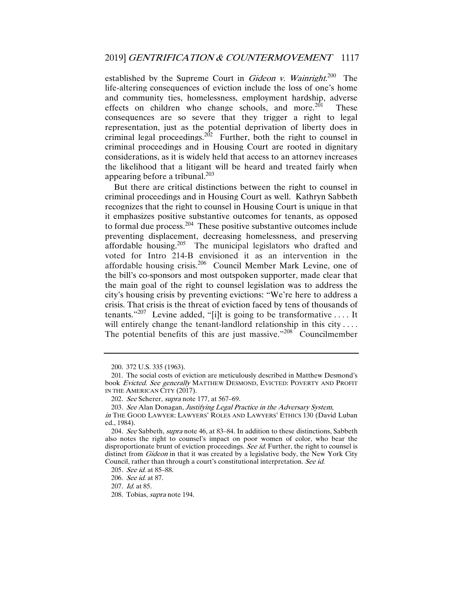established by the Supreme Court in Gideon v. Wainright.<sup>200</sup> The life-altering consequences of eviction include the loss of one's home and community ties, homelessness, employment hardship, adverse effects on children who change schools, and more.<sup>201</sup> These consequences are so severe that they trigger a right to legal representation, just as the potential deprivation of liberty does in criminal legal proceedings.<sup>202</sup> Further, both the right to counsel in criminal proceedings and in Housing Court are rooted in dignitary considerations, as it is widely held that access to an attorney increases the likelihood that a litigant will be heard and treated fairly when appearing before a tribunal. $203$ 

But there are critical distinctions between the right to counsel in criminal proceedings and in Housing Court as well. Kathryn Sabbeth recognizes that the right to counsel in Housing Court is unique in that it emphasizes positive substantive outcomes for tenants, as opposed to formal due process.<sup>204</sup> These positive substantive outcomes include preventing displacement, decreasing homelessness, and preserving affordable housing.205 The municipal legislators who drafted and voted for Intro 214-B envisioned it as an intervention in the affordable housing crisis.<sup>206</sup> Council Member Mark Levine, one of the bill's co-sponsors and most outspoken supporter, made clear that the main goal of the right to counsel legislation was to address the city's housing crisis by preventing evictions: "We're here to address a crisis. That crisis is the threat of eviction faced by tens of thousands of tenants."<sup>207</sup> Levine added, "[i]t is going to be transformative .... It will entirely change the tenant-landlord relationship in this city .... The potential benefits of this are just massive."<sup>208</sup> Councilmember

 <sup>200. 372</sup> U.S. 335 (1963).

 <sup>201.</sup> The social costs of eviction are meticulously described in Matthew Desmond's book Evicted. See generally MATTHEW DESMOND, EVICTED: POVERTY AND PROFIT IN THE AMERICAN CITY (2017).

<sup>202.</sup> See Scherer, supra note 177, at 567–69.

<sup>203</sup>. See Alan Donagan, Justifying Legal Practice in the Adversary System,

in THE GOOD LAWYER: LAWYERS' ROLES AND LAWYERS' ETHICS 130 (David Luban ed., 1984).

<sup>204.</sup> See Sabbeth, supra note 46, at 83-84. In addition to these distinctions, Sabbeth also notes the right to counsel's impact on poor women of color, who bear the disproportionate brunt of eviction proceedings. See id. Further, the right to counsel is distinct from *Gideon* in that it was created by a legislative body, the New York City Council, rather than through a court's constitutional interpretation. See id.

<sup>205</sup>. See id. at 85–88.

<sup>206</sup>. See id. at 87.

<sup>207</sup>. Id. at 85.

 <sup>208.</sup> Tobias, supra note 194.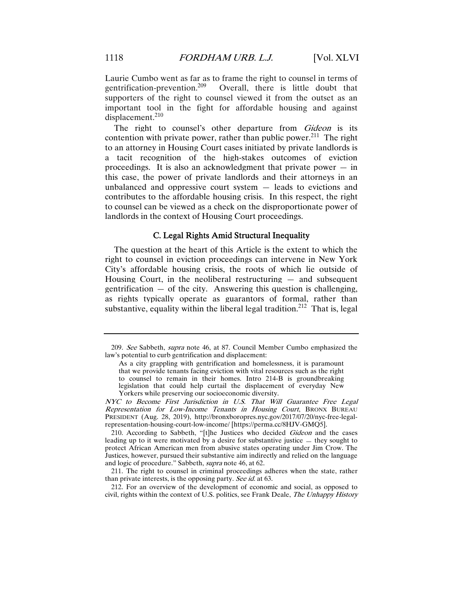Laurie Cumbo went as far as to frame the right to counsel in terms of gentrification-prevention.209 Overall, there is little doubt that supporters of the right to counsel viewed it from the outset as an important tool in the fight for affordable housing and against displacement.<sup>210</sup>

The right to counsel's other departure from Gideon is its contention with private power, rather than public power.<sup>211</sup> The right to an attorney in Housing Court cases initiated by private landlords is a tacit recognition of the high-stakes outcomes of eviction proceedings. It is also an acknowledgment that private power  $-$  in this case, the power of private landlords and their attorneys in an unbalanced and oppressive court system — leads to evictions and contributes to the affordable housing crisis. In this respect, the right to counsel can be viewed as a check on the disproportionate power of landlords in the context of Housing Court proceedings.

#### C. Legal Rights Amid Structural Inequality

The question at the heart of this Article is the extent to which the right to counsel in eviction proceedings can intervene in New York City's affordable housing crisis, the roots of which lie outside of Housing Court, in the neoliberal restructuring  $-$  and subsequent gentrification  $-$  of the city. Answering this question is challenging, as rights typically operate as guarantors of formal, rather than substantive, equality within the liberal legal tradition.<sup>212</sup> That is, legal

<sup>209</sup>. See Sabbeth, supra note 46, at 87. Council Member Cumbo emphasized the law's potential to curb gentrification and displacement:

As a city grappling with gentrification and homelessness, it is paramount that we provide tenants facing eviction with vital resources such as the right to counsel to remain in their homes. Intro 214-B is groundbreaking legislation that could help curtail the displacement of everyday New Yorkers while preserving our socioeconomic diversity.

NYC to Become First Jurisdiction in U.S. That Will Guarantee Free Legal Representation for Low-Income Tenants in Housing Court, BRONX BUREAU PRESIDENT (Aug. 28, 2019), http://bronxboropres.nyc.gov/2017/07/20/nyc-free-legalrepresentation-housing-court-low-income/ [https://perma.cc/8HJV-GMQ5].

<sup>210.</sup> According to Sabbeth, "[t]he Justices who decided *Gideon* and the cases leading up to it were motivated by a desire for substantive justice — they sought to protect African American men from abusive states operating under Jim Crow. The Justices, however, pursued their substantive aim indirectly and relied on the language and logic of procedure." Sabbeth, supra note 46, at 62.

 <sup>211.</sup> The right to counsel in criminal proceedings adheres when the state, rather than private interests, is the opposing party. See id. at 63.

 <sup>212.</sup> For an overview of the development of economic and social, as opposed to civil, rights within the context of U.S. politics, see Frank Deale, The Unhappy History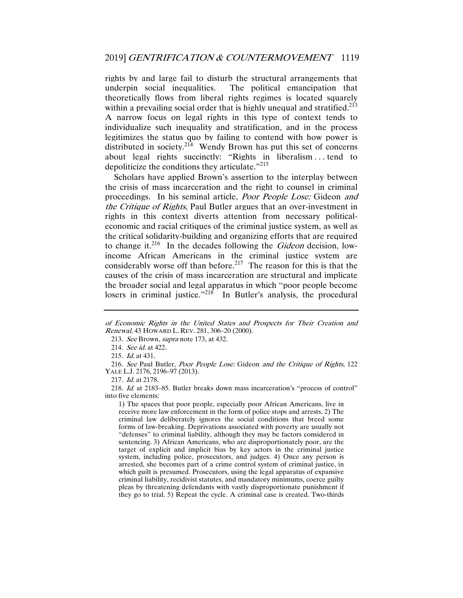rights by and large fail to disturb the structural arrangements that underpin social inequalities. The political emancipation that theoretically flows from liberal rights regimes is located squarely within a prevailing social order that is highly unequal and stratified.<sup>213</sup> A narrow focus on legal rights in this type of context tends to individualize such inequality and stratification, and in the process legitimizes the status quo by failing to contend with how power is distributed in society.<sup>214</sup> Wendy Brown has put this set of concerns about legal rights succinctly: "Rights in liberalism . . . tend to depoliticize the conditions they articulate."<sup>215</sup>

Scholars have applied Brown's assertion to the interplay between the crisis of mass incarceration and the right to counsel in criminal proceedings. In his seminal article, Poor People Lose: Gideon and the Critique of Rights, Paul Butler argues that an over-investment in rights in this context diverts attention from necessary politicaleconomic and racial critiques of the criminal justice system, as well as the critical solidarity-building and organizing efforts that are required to change it.<sup>216</sup> In the decades following the *Gideon* decision, lowincome African Americans in the criminal justice system are considerably worse off than before.<sup>217</sup> The reason for this is that the causes of the crisis of mass incarceration are structural and implicate the broader social and legal apparatus in which "poor people become losers in criminal justice."<sup>218</sup> In Butler's analysis, the procedural

217. Id. at 2178.

218. Id. at 2183–85. Butler breaks down mass incarceration's "process of control" into five elements:

1) The spaces that poor people, especially poor African Americans, live in receive more law enforcement in the form of police stops and arrests. 2) The criminal law deliberately ignores the social conditions that breed some forms of law-breaking. Deprivations associated with poverty are usually not "defenses" to criminal liability, although they may be factors considered in sentencing. 3) African Americans, who are disproportionately poor, are the target of explicit and implicit bias by key actors in the criminal justice system, including police, prosecutors, and judges. 4) Once any person is arrested, she becomes part of a crime control system of criminal justice, in which guilt is presumed. Prosecutors, using the legal apparatus of expansive criminal liability, recidivist statutes, and mandatory minimums, coerce guilty pleas by threatening defendants with vastly disproportionate punishment if they go to trial. 5) Repeat the cycle. A criminal case is created. Two-thirds

of Economic Rights in the United States and Prospects for Their Creation and Renewal, 43 HOWARD L. REV. 281, 306–20 (2000).

<sup>213.</sup> See Brown, *supra* note 173, at 432.

<sup>214.</sup> See id. at 422.

<sup>215</sup>. Id. at 431.

<sup>216</sup>. See Paul Butler, Poor People Lose: Gideon and the Critique of Rights, 122 YALE L.J. 2176, 2196–97 (2013).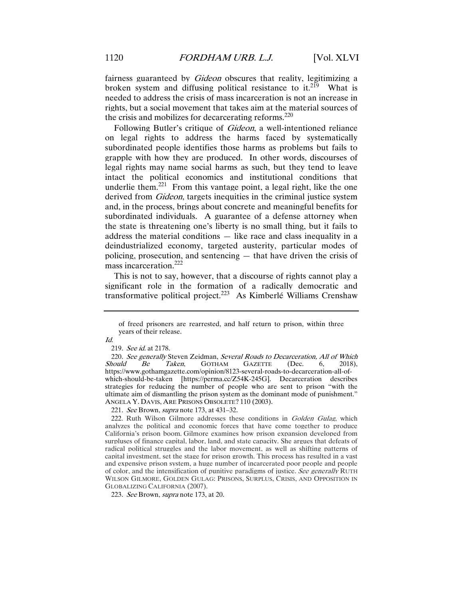fairness guaranteed by *Gideon* obscures that reality, legitimizing a broken system and diffusing political resistance to it.<sup>219</sup> What is needed to address the crisis of mass incarceration is not an increase in rights, but a social movement that takes aim at the material sources of the crisis and mobilizes for decarcerating reforms.<sup>220</sup>

Following Butler's critique of Gideon, a well-intentioned reliance on legal rights to address the harms faced by systematically subordinated people identifies those harms as problems but fails to grapple with how they are produced. In other words, discourses of legal rights may name social harms as such, but they tend to leave intact the political economics and institutional conditions that underlie them.<sup>221</sup> From this vantage point, a legal right, like the one derived from *Gideon*, targets inequities in the criminal justice system and, in the process, brings about concrete and meaningful benefits for subordinated individuals. A guarantee of a defense attorney when the state is threatening one's liberty is no small thing, but it fails to address the material conditions — like race and class inequality in a deindustrialized economy, targeted austerity, particular modes of policing, prosecution, and sentencing — that have driven the crisis of mass incarceration.<sup>222</sup>

This is not to say, however, that a discourse of rights cannot play a significant role in the formation of a radically democratic and transformative political project.223 As Kimberlé Williams Crenshaw

221. See Brown, *supra* note 173, at 431–32.

223. See Brown, supra note 173, at 20.

of freed prisoners are rearrested, and half return to prison, within three years of their release.

Id.

<sup>219</sup>. See id. at 2178.

<sup>220.</sup> See generally Steven Zeidman, Several Roads to Decarceration, All of Which<br>hould Be Taken, GOTHAM GAZETTE (Dec. 6, 2018),  $Should \tBe$  Taken, GOTHAM GAZETTE (Dec. 6, https://www.gothamgazette.com/opinion/8123-several-roads-to-decarceration-all-ofwhich-should-be-taken [https://perma.cc/Z54K-245G]. Decarceration describes strategies for reducing the number of people who are sent to prison "with the ultimate aim of dismantling the prison system as the dominant mode of punishment." ANGELA Y. DAVIS, ARE PRISONS OBSOLETE? 110 (2003).

<sup>222.</sup> Ruth Wilson Gilmore addresses these conditions in Golden Gulag, which analyzes the political and economic forces that have come together to produce California's prison boom. Gilmore examines how prison expansion developed from surpluses of finance capital, labor, land, and state capacity. She argues that defeats of radical political struggles and the labor movement, as well as shifting patterns of capital investment, set the stage for prison growth. This process has resulted in a vast and expensive prison system, a huge number of incarcerated poor people and people of color, and the intensification of punitive paradigms of justice. See generally RUTH WILSON GILMORE, GOLDEN GULAG: PRISONS, SURPLUS, CRISIS, AND OPPOSITION IN GLOBALIZING CALIFORNIA (2007).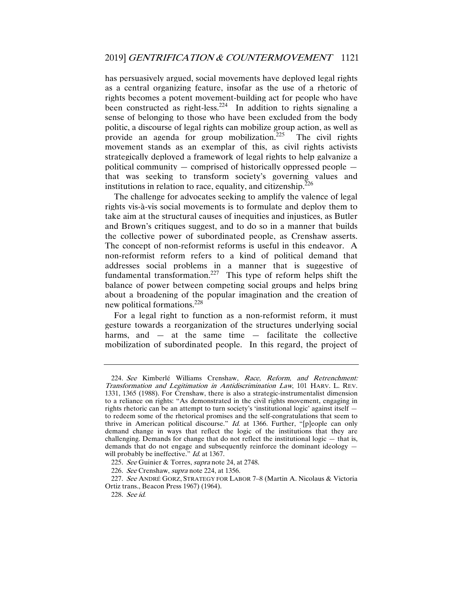has persuasively argued, social movements have deployed legal rights as a central organizing feature, insofar as the use of a rhetoric of rights becomes a potent movement-building act for people who have been constructed as right-less.<sup>224</sup> In addition to rights signaling a sense of belonging to those who have been excluded from the body politic, a discourse of legal rights can mobilize group action, as well as provide an agenda for group mobilization.<sup>225</sup> The civil rights movement stands as an exemplar of this, as civil rights activists strategically deployed a framework of legal rights to help galvanize a political community — comprised of historically oppressed people that was seeking to transform society's governing values and institutions in relation to race, equality, and citizenship.<sup>226</sup>

The challenge for advocates seeking to amplify the valence of legal rights vis-à-vis social movements is to formulate and deploy them to take aim at the structural causes of inequities and injustices, as Butler and Brown's critiques suggest, and to do so in a manner that builds the collective power of subordinated people, as Crenshaw asserts. The concept of non-reformist reforms is useful in this endeavor. A non-reformist reform refers to a kind of political demand that addresses social problems in a manner that is suggestive of fundamental transformation.<sup>227</sup> This type of reform helps shift the balance of power between competing social groups and helps bring about a broadening of the popular imagination and the creation of new political formations.<sup>228</sup>

For a legal right to function as a non-reformist reform, it must gesture towards a reorganization of the structures underlying social harms, and  $-$  at the same time  $-$  facilitate the collective mobilization of subordinated people. In this regard, the project of

<sup>224.</sup> See Kimberlé Williams Crenshaw, Race, Reform, and Retrenchment: Transformation and Legitimation in Antidiscrimination Law, 101 HARV. L. REV. 1331, 1365 (1988). For Crenshaw, there is also a strategic-instrumentalist dimension to a reliance on rights: "As demonstrated in the civil rights movement, engaging in rights rhetoric can be an attempt to turn society's 'institutional logic' against itself to redeem some of the rhetorical promises and the self-congratulations that seem to thrive in American political discourse."  $Id$  at 1366. Further, "[p]eople can only demand change in ways that reflect the logic of the institutions that they are challenging. Demands for change that do not reflect the institutional logic — that is, demands that do not engage and subsequently reinforce the dominant ideology will probably be ineffective." *Id.* at 1367.

<sup>225</sup>. See Guinier & Torres, supra note 24, at 2748.

<sup>226</sup>. See Crenshaw, supra note 224, at 1356.

<sup>227</sup>. See ANDRÉ GORZ, STRATEGY FOR LABOR 7–8 (Martin A. Nicolaus & Victoria Ortiz trans., Beacon Press 1967) (1964).

<sup>228</sup>. See id.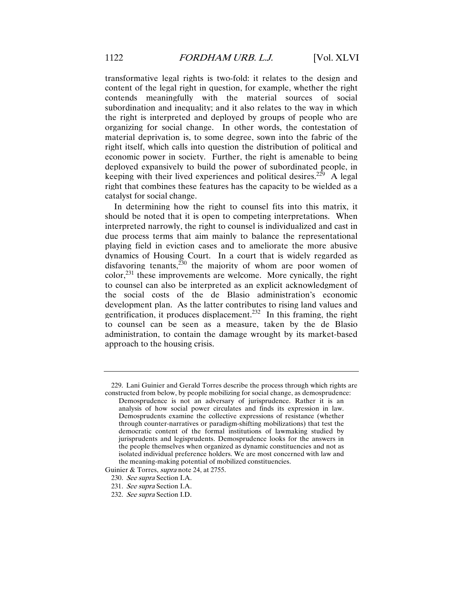transformative legal rights is two-fold: it relates to the design and content of the legal right in question, for example, whether the right contends meaningfully with the material sources of social subordination and inequality; and it also relates to the way in which the right is interpreted and deployed by groups of people who are organizing for social change. In other words, the contestation of material deprivation is, to some degree, sown into the fabric of the right itself, which calls into question the distribution of political and economic power in society. Further, the right is amenable to being deployed expansively to build the power of subordinated people, in keeping with their lived experiences and political desires.<sup>229</sup> A legal right that combines these features has the capacity to be wielded as a catalyst for social change.

In determining how the right to counsel fits into this matrix, it should be noted that it is open to competing interpretations. When interpreted narrowly, the right to counsel is individualized and cast in due process terms that aim mainly to balance the representational playing field in eviction cases and to ameliorate the more abusive dynamics of Housing Court. In a court that is widely regarded as disfavoring tenants, $230$  the majority of whom are poor women of  $color<sup>231</sup>$  these improvements are welcome. More cynically, the right to counsel can also be interpreted as an explicit acknowledgment of the social costs of the de Blasio administration's economic development plan. As the latter contributes to rising land values and gentrification, it produces displacement.<sup>232</sup> In this framing, the right to counsel can be seen as a measure, taken by the de Blasio administration, to contain the damage wrought by its market-based approach to the housing crisis.

 <sup>229.</sup> Lani Guinier and Gerald Torres describe the process through which rights are constructed from below, by people mobilizing for social change, as demosprudence:

Demosprudence is not an adversary of jurisprudence. Rather it is an analysis of how social power circulates and finds its expression in law. Demosprudents examine the collective expressions of resistance (whether through counter-narratives or paradigm-shifting mobilizations) that test the democratic content of the formal institutions of lawmaking studied by jurisprudents and legisprudents. Demosprudence looks for the answers in the people themselves when organized as dynamic constituencies and not as isolated individual preference holders. We are most concerned with law and the meaning-making potential of mobilized constituencies.

Guinier & Torres, *supra* note 24, at 2755.

<sup>230</sup>. See supra Section I.A.

<sup>231</sup>. See supra Section I.A.

<sup>232</sup>. See supra Section I.D.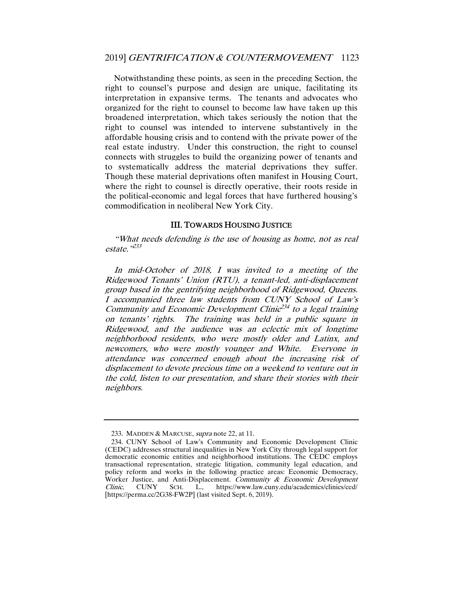Notwithstanding these points, as seen in the preceding Section, the right to counsel's purpose and design are unique, facilitating its interpretation in expansive terms. The tenants and advocates who organized for the right to counsel to become law have taken up this broadened interpretation, which takes seriously the notion that the right to counsel was intended to intervene substantively in the affordable housing crisis and to contend with the private power of the real estate industry. Under this construction, the right to counsel connects with struggles to build the organizing power of tenants and to systematically address the material deprivations they suffer. Though these material deprivations often manifest in Housing Court, where the right to counsel is directly operative, their roots reside in the political-economic and legal forces that have furthered housing's commodification in neoliberal New York City.

#### III. TOWARDS HOUSING JUSTICE

"What needs defending is the use of housing as home, not as real  $estate$ <sup>,233</sup>

In mid-October of 2018, I was invited to a meeting of the Ridgewood Tenants' Union (RTU), a tenant-led, anti-displacement group based in the gentrifying neighborhood of Ridgewood, Queens. I accompanied three law students from CUNY School of Law's Community and Economic Development Clinic<sup>234</sup> to a legal training on tenants' rights. The training was held in a public square in Ridgewood, and the audience was an eclectic mix of longtime neighborhood residents, who were mostly older and Latinx, and newcomers, who were mostly younger and White. Everyone in attendance was concerned enough about the increasing risk of displacement to devote precious time on a weekend to venture out in the cold, listen to our presentation, and share their stories with their neighbors.

<sup>233.</sup> MADDEN & MARCUSE, *supra* note 22, at 11.

 <sup>234.</sup> CUNY School of Law's Community and Economic Development Clinic (CEDC) addresses structural inequalities in New York City through legal support for democratic economic entities and neighborhood institutions. The CEDC employs transactional representation, strategic litigation, community legal education, and policy reform and works in the following practice areas: Economic Democracy, Worker Justice, and Anti-Displacement. Community & Economic Development Clinic, CUNY SCH. L., https://www.law.cunv.edu/academics/clinics/ced/ Clinic, CUNY SCH. L., https://www.law.cuny.edu/academics/clinics/ced/ [https://perma.cc/2G38-FW2P] (last visited Sept. 6, 2019).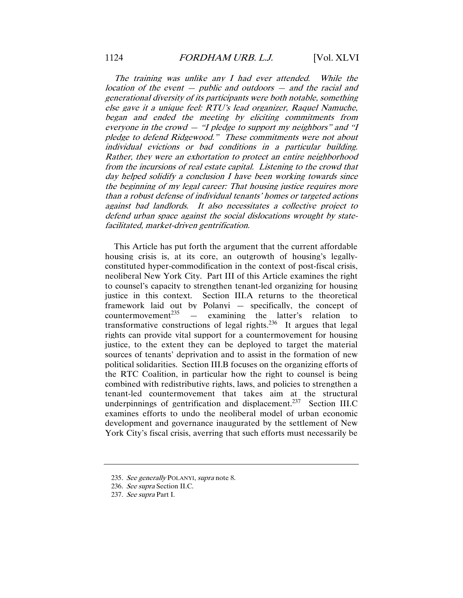The training was unlike any I had ever attended. While the location of the event — public and outdoors — and the racial and generational diversity of its participants were both notable, something else gave it a unique feel: RTU's lead organizer, Raquel Namuche, began and ended the meeting by eliciting commitments from everyone in the crowd — "I pledge to support my neighbors" and "I pledge to defend Ridgewood." These commitments were not about individual evictions or bad conditions in a particular building. Rather, they were an exhortation to protect an entire neighborhood from the incursions of real estate capital. Listening to the crowd that day helped solidify a conclusion I have been working towards since the beginning of my legal career: That housing justice requires more than a robust defense of individual tenants' homes or targeted actions against bad landlords. It also necessitates a collective project to defend urban space against the social dislocations wrought by statefacilitated, market-driven gentrification.

This Article has put forth the argument that the current affordable housing crisis is, at its core, an outgrowth of housing's legallyconstituted hyper-commodification in the context of post-fiscal crisis, neoliberal New York City. Part III of this Article examines the right to counsel's capacity to strengthen tenant-led organizing for housing justice in this context. Section III.A returns to the theoretical framework laid out by Polanyi — specifically, the concept of countermovement<sup>235</sup> — examining the latter's relation to - examining the latter's relation to transformative constructions of legal rights.<sup>236</sup> It argues that legal rights can provide vital support for a countermovement for housing justice, to the extent they can be deployed to target the material sources of tenants' deprivation and to assist in the formation of new political solidarities. Section III.B focuses on the organizing efforts of the RTC Coalition, in particular how the right to counsel is being combined with redistributive rights, laws, and policies to strengthen a tenant-led countermovement that takes aim at the structural underpinnings of gentrification and displacement.<sup>237</sup> Section III.C examines efforts to undo the neoliberal model of urban economic development and governance inaugurated by the settlement of New York City's fiscal crisis, averring that such efforts must necessarily be

<sup>235.</sup> See generally POLANYI, supra note 8.

<sup>236</sup>. See supra Section II.C.

<sup>237</sup>. See supra Part I.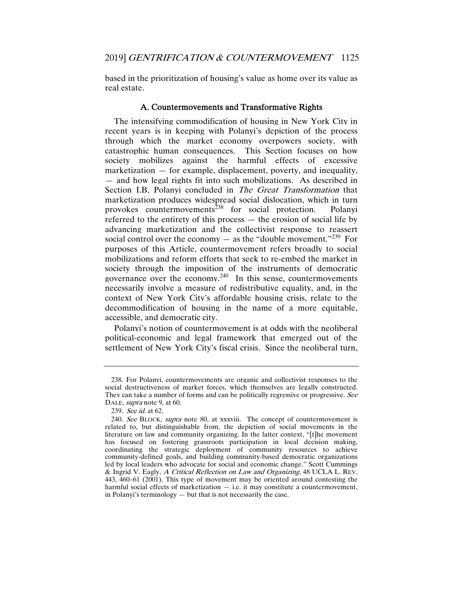based in the prioritization of housing's value as home over its value as real estate.

#### A. Countermovements and Transformative Rights

The intensifying commodification of housing in New York City in recent years is in keeping with Polanyi's depiction of the process through which the market economy overpowers society, with catastrophic human consequences. This Section focuses on how society mobilizes against the harmful effects of excessive marketization — for example, displacement, poverty, and inequality, — and how legal rights fit into such mobilizations. As described in Section I.B, Polanyi concluded in *The Great Transformation* that marketization produces widespread social dislocation, which in turn provokes countermovements<sup>238</sup> for social protection. Polanyi referred to the entirety of this process — the erosion of social life by advancing marketization and the collectivist response to reassert social control over the economy  $-$  as the "double movement."<sup>239</sup> For purposes of this Article, countermovement refers broadly to social mobilizations and reform efforts that seek to re-embed the market in society through the imposition of the instruments of democratic governance over the economy.<sup>240</sup> In this sense, countermovements necessarily involve a measure of redistributive equality, and, in the context of New York City's affordable housing crisis, relate to the decommodification of housing in the name of a more equitable, accessible, and democratic city.

Polanyi's notion of countermovement is at odds with the neoliberal political-economic and legal framework that emerged out of the settlement of New York City's fiscal crisis. Since the neoliberal turn,

 <sup>238.</sup> For Polanyi, countermovements are organic and collectivist responses to the social destructiveness of market forces, which themselves are legally constructed. They can take a number of forms and can be politically regressive or progressive. See DALE, *supra* note 9, at 60.

<sup>239</sup>. See id. at 62.

<sup>240</sup>. See BLOCK, supra note 80, at xxxviii. The concept of countermovement is related to, but distinguishable from, the depiction of social movements in the literature on law and community organizing. In the latter context, "[t]he movement has focused on fostering grassroots participation in local decision making, coordinating the strategic deployment of community resources to achieve community-defined goals, and building community-based democratic organizations led by local leaders who advocate for social and economic change." Scott Cummings & Ingrid V. Eagly, A Critical Reflection on Law and Organizing, 48 UCLA L. REV. 443, 460–61 (2001). This type of movement may be oriented around contesting the harmful social effects of marketization  $-$  i.e. it may constitute a countermovement, in Polanyi's terminology — but that is not necessarily the case.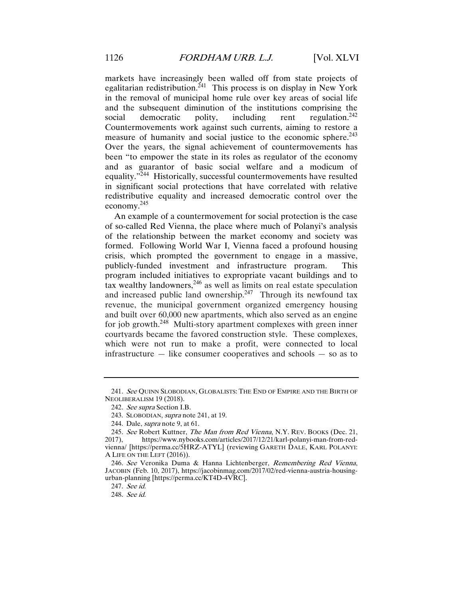markets have increasingly been walled off from state projects of egalitarian redistribution.<sup>241</sup> This process is on display in New York in the removal of municipal home rule over key areas of social life and the subsequent diminution of the institutions comprising the social democratic polity, including rent regulation.<sup>242</sup> Countermovements work against such currents, aiming to restore a measure of humanity and social justice to the economic sphere.<sup>243</sup> Over the years, the signal achievement of countermovements has been "to empower the state in its roles as regulator of the economy and as guarantor of basic social welfare and a modicum of equality."244 Historically, successful countermovements have resulted in significant social protections that have correlated with relative redistributive equality and increased democratic control over the economy.<sup>245</sup>

An example of a countermovement for social protection is the case of so-called Red Vienna, the place where much of Polanyi's analysis of the relationship between the market economy and society was formed. Following World War I, Vienna faced a profound housing crisis, which prompted the government to engage in a massive, publicly-funded investment and infrastructure program. This program included initiatives to expropriate vacant buildings and to tax wealthy landowners,  $246$  as well as limits on real estate speculation and increased public land ownership.<sup>247</sup> Through its newfound tax revenue, the municipal government organized emergency housing and built over 60,000 new apartments, which also served as an engine for job growth.<sup>248</sup> Multi-story apartment complexes with green inner courtyards became the favored construction style. These complexes, which were not run to make a profit, were connected to local infrastructure — like consumer cooperatives and schools — so as to

<sup>241.</sup> See QUINN SLOBODIAN, GLOBALISTS: THE END OF EMPIRE AND THE BIRTH OF NEOLIBERALISM 19 (2018).

<sup>242</sup>. See supra Section I.B.

 <sup>243.</sup> SLOBODIAN, supra note 241, at 19.

 <sup>244.</sup> Dale, supra note 9, at 61.

<sup>245.</sup> See Robert Kuttner, *The Man from Red Vienna*, N.Y. REV. BOOKS (Dec. 21, 2017). https://www.nybooks.com/articles/2017/12/21/karl-polanyi-man-from-red-2017), https://www.nybooks.com/articles/2017/12/21/karl-polanyi-man-from-redvienna/ [https://perma.cc/5HRZ-ATYL] (reviewing GARETH DALE, KARL POLANYI: A LIFE ON THE LEFT (2016)).

<sup>246</sup>. See Veronika Duma & Hanna Lichtenberger, Remembering Red Vienna, JACOBIN (Feb. 10, 2017), https://jacobinmag.com/2017/02/red-vienna-austria-housingurban-planning [https://perma.cc/KT4D-4VRC].

<sup>247</sup>. See id.

<sup>248</sup>. See id.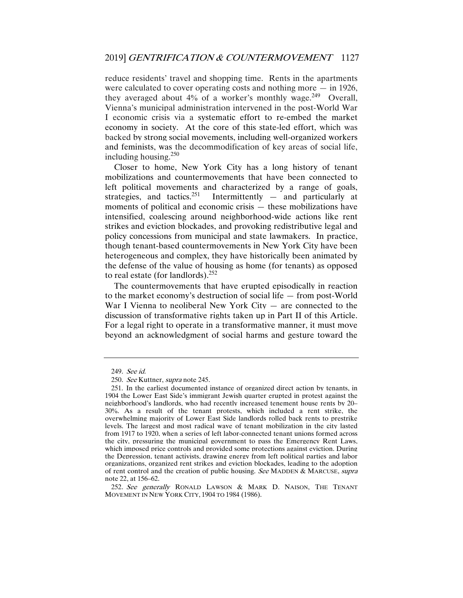reduce residents' travel and shopping time. Rents in the apartments were calculated to cover operating costs and nothing more  $-$  in 1926, they averaged about  $4\%$  of a worker's monthly wage.<sup>249</sup> Overall, Vienna's municipal administration intervened in the post-World War I economic crisis via a systematic effort to re-embed the market economy in society. At the core of this state-led effort, which was backed by strong social movements, including well-organized workers and feminists, was the decommodification of key areas of social life, including housing. $250$ 

Closer to home, New York City has a long history of tenant mobilizations and countermovements that have been connected to left political movements and characterized by a range of goals, strategies, and tactics.<sup>251</sup> Intermittently — and particularly at moments of political and economic crisis — these mobilizations have intensified, coalescing around neighborhood-wide actions like rent strikes and eviction blockades, and provoking redistributive legal and policy concessions from municipal and state lawmakers. In practice, though tenant-based countermovements in New York City have been heterogeneous and complex, they have historically been animated by the defense of the value of housing as home (for tenants) as opposed to real estate (for landlords).<sup>252</sup>

The countermovements that have erupted episodically in reaction to the market economy's destruction of social life — from post-World War I Vienna to neoliberal New York City  $-$  are connected to the discussion of transformative rights taken up in Part II of this Article. For a legal right to operate in a transformative manner, it must move beyond an acknowledgment of social harms and gesture toward the

252. See generally RONALD LAWSON & MARK D. NAISON, THE TENANT MOVEMENT IN NEW YORK CITY, 1904 TO 1984 (1986).

<sup>249</sup>. See id.

<sup>250</sup>. See Kuttner, supra note 245.

 <sup>251.</sup> In the earliest documented instance of organized direct action by tenants, in 1904 the Lower East Side's immigrant Jewish quarter erupted in protest against the neighborhood's landlords, who had recently increased tenement house rents by 20– 30%. As a result of the tenant protests, which included a rent strike, the overwhelming majority of Lower East Side landlords rolled back rents to prestrike levels. The largest and most radical wave of tenant mobilization in the city lasted from 1917 to 1920, when a series of left labor-connected tenant unions formed across the city, pressuring the municipal government to pass the Emergency Rent Laws, which imposed price controls and provided some protections against eviction. During the Depression, tenant activists, drawing energy from left political parties and labor organizations, organized rent strikes and eviction blockades, leading to the adoption of rent control and the creation of public housing. See MADDEN & MARCUSE, supra note 22, at 156–62.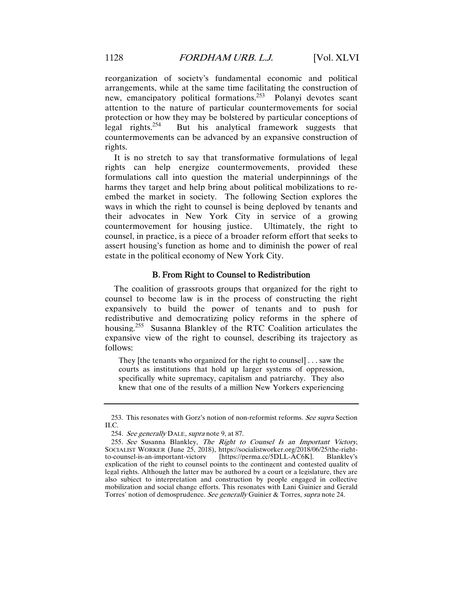reorganization of society's fundamental economic and political arrangements, while at the same time facilitating the construction of new, emancipatory political formations.<sup>253</sup> Polanyi devotes scant attention to the nature of particular countermovements for social protection or how they may be bolstered by particular conceptions of legal rights.<sup>254</sup> But his analytical framework suggests that countermovements can be advanced by an expansive construction of rights.

It is no stretch to say that transformative formulations of legal rights can help energize countermovements, provided these formulations call into question the material underpinnings of the harms they target and help bring about political mobilizations to reembed the market in society. The following Section explores the ways in which the right to counsel is being deployed by tenants and their advocates in New York City in service of a growing countermovement for housing justice. Ultimately, the right to counsel, in practice, is a piece of a broader reform effort that seeks to assert housing's function as home and to diminish the power of real estate in the political economy of New York City.

#### B. From Right to Counsel to Redistribution

The coalition of grassroots groups that organized for the right to counsel to become law is in the process of constructing the right expansively to build the power of tenants and to push for redistributive and democratizing policy reforms in the sphere of housing.<sup>255</sup> Susanna Blankley of the RTC Coalition articulates the expansive view of the right to counsel, describing its trajectory as follows:

They [the tenants who organized for the right to counsel] . . . saw the courts as institutions that hold up larger systems of oppression, specifically white supremacy, capitalism and patriarchy. They also knew that one of the results of a million New Yorkers experiencing

<sup>253.</sup> This resonates with Gorz's notion of non-reformist reforms. See supra Section II.C.

<sup>254.</sup> See generally DALE, supra note 9, at 87.

<sup>255</sup>. See Susanna Blankley, The Right to Counsel Is an Important Victory, SOCIALIST WORKER (June 25, 2018), https://socialistworker.org/2018/06/25/the-right-<br>to-counsel-is-an-important-victory [https://perma.cc/5DLL-AC6K]. Blankley's  $[https://perma.cc/5DLL-AC6K].$ explication of the right to counsel points to the contingent and contested quality of legal rights. Although the latter may be authored by a court or a legislature, they are also subject to interpretation and construction by people engaged in collective mobilization and social change efforts. This resonates with Lani Guinier and Gerald Torres' notion of demosprudence. See generally Guinier & Torres, supra note 24.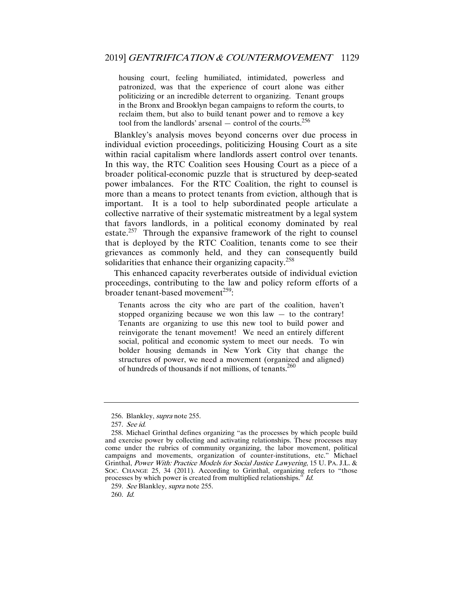housing court, feeling humiliated, intimidated, powerless and patronized, was that the experience of court alone was either politicizing or an incredible deterrent to organizing. Tenant groups in the Bronx and Brooklyn began campaigns to reform the courts, to reclaim them, but also to build tenant power and to remove a key tool from the landlords' arsenal  $-$  control of the courts.<sup>256</sup>

Blankley's analysis moves beyond concerns over due process in individual eviction proceedings, politicizing Housing Court as a site within racial capitalism where landlords assert control over tenants. In this way, the RTC Coalition sees Housing Court as a piece of a broader political-economic puzzle that is structured by deep-seated power imbalances. For the RTC Coalition, the right to counsel is more than a means to protect tenants from eviction, although that is important. It is a tool to help subordinated people articulate a collective narrative of their systematic mistreatment by a legal system that favors landlords, in a political economy dominated by real estate.<sup>257</sup> Through the expansive framework of the right to counsel that is deployed by the RTC Coalition, tenants come to see their grievances as commonly held, and they can consequently build solidarities that enhance their organizing capacity.<sup>258</sup>

This enhanced capacity reverberates outside of individual eviction proceedings, contributing to the law and policy reform efforts of a broader tenant-based movement<sup>259</sup>:

Tenants across the city who are part of the coalition, haven't stopped organizing because we won this law  $-$  to the contrary! Tenants are organizing to use this new tool to build power and reinvigorate the tenant movement! We need an entirely different social, political and economic system to meet our needs. To win bolder housing demands in New York City that change the structures of power, we need a movement (organized and aligned) of hundreds of thousands if not millions, of tenants.260

<sup>256.</sup> Blankley, *supra* note 255.

<sup>257</sup>. See id.

 <sup>258.</sup> Michael Grinthal defines organizing "as the processes by which people build and exercise power by collecting and activating relationships. These processes may come under the rubrics of community organizing, the labor movement, political campaigns and movements, organization of counter-institutions, etc." Michael Grinthal, Power With: Practice Models for Social Justice Lawyering, 15 U. PA. J.L. & SOC. CHANGE 25, 34 (2011). According to Grinthal, organizing refers to "those processes by which power is created from multiplied relationships." Id.

<sup>259</sup>. See Blankley, supra note 255.

<sup>260</sup>. Id.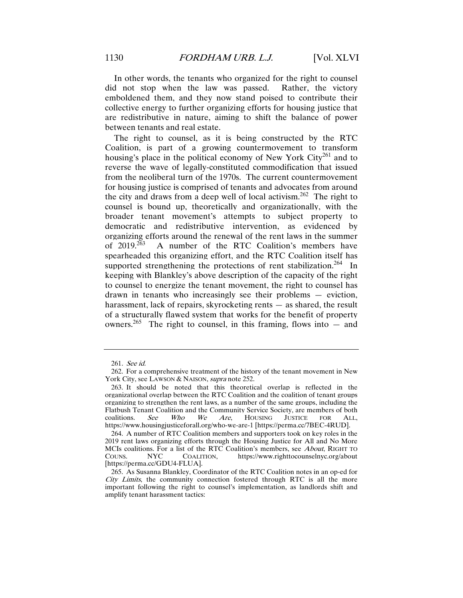In other words, the tenants who organized for the right to counsel did not stop when the law was passed. Rather, the victory emboldened them, and they now stand poised to contribute their collective energy to further organizing efforts for housing justice that are redistributive in nature, aiming to shift the balance of power between tenants and real estate.

The right to counsel, as it is being constructed by the RTC Coalition, is part of a growing countermovement to transform housing's place in the political economy of New York  $\mathrm{City}^{261}$  and to reverse the wave of legally-constituted commodification that issued from the neoliberal turn of the 1970s. The current countermovement for housing justice is comprised of tenants and advocates from around the city and draws from a deep well of local activism.<sup>262</sup> The right to counsel is bound up, theoretically and organizationally, with the broader tenant movement's attempts to subject property to democratic and redistributive intervention, as evidenced by organizing efforts around the renewal of the rent laws in the summer of  $2019$ <sup>263</sup> A number of the RTC Coalition's members have spearheaded this organizing effort, and the RTC Coalition itself has supported strengthening the protections of rent stabilization.<sup>264</sup> In keeping with Blankley's above description of the capacity of the right to counsel to energize the tenant movement, the right to counsel has drawn in tenants who increasingly see their problems — eviction, harassment, lack of repairs, skyrocketing rents — as shared, the result of a structurally flawed system that works for the benefit of property owners.<sup>265</sup> The right to counsel, in this framing, flows into  $-$  and

<sup>261</sup>. See id.

 <sup>262.</sup> For a comprehensive treatment of the history of the tenant movement in New York City, see LAWSON & NAISON, *supra* note 252.

 <sup>263.</sup> It should be noted that this theoretical overlap is reflected in the organizational overlap between the RTC Coalition and the coalition of tenant groups organizing to strengthen the rent laws, as a number of the same groups, including the Flatbush Tenant Coalition and the Community Service Society, are members of both coalitions. See Who We Are, HOUSING JUSTICE FOR ALL, https://www.housingjusticeforall.org/who-we-are-1 [https://perma.cc/7BEC-4RUD].

 <sup>264.</sup> A number of RTC Coalition members and supporters took on key roles in the 2019 rent laws organizing efforts through the Housing Justice for All and No More MCIs coalitions. For a list of the RTC Coalition's members, see About, RIGHT TO COUNS. NYC COALITION, https://www.righttocounselnyc.org/about [https://perma.cc/GDU4-FLUA].

 <sup>265.</sup> As Susanna Blankley, Coordinator of the RTC Coalition notes in an op-ed for City Limits, the community connection fostered through RTC is all the more important following the right to counsel's implementation, as landlords shift and amplify tenant harassment tactics: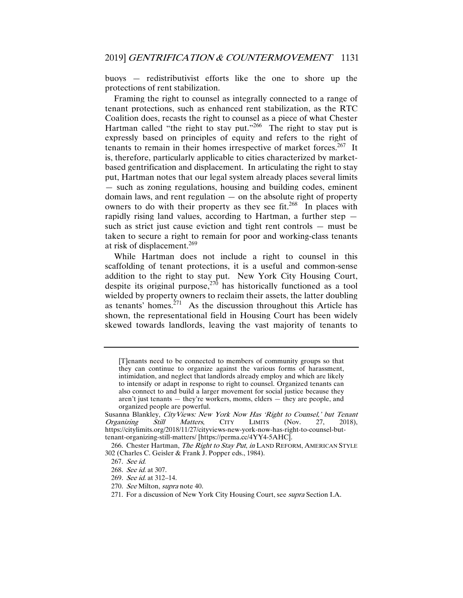buoys — redistributivist efforts like the one to shore up the protections of rent stabilization.

Framing the right to counsel as integrally connected to a range of tenant protections, such as enhanced rent stabilization, as the RTC Coalition does, recasts the right to counsel as a piece of what Chester Hartman called "the right to stay put."<sup>266</sup> The right to stay put is expressly based on principles of equity and refers to the right of tenants to remain in their homes irrespective of market forces.<sup>267</sup> It is, therefore, particularly applicable to cities characterized by marketbased gentrification and displacement. In articulating the right to stay put, Hartman notes that our legal system already places several limits — such as zoning regulations, housing and building codes, eminent domain laws, and rent regulation  $-$  on the absolute right of property owners to do with their property as they see fit.<sup>268</sup> In places with rapidly rising land values, according to Hartman, a further step such as strict just cause eviction and tight rent controls — must be taken to secure a right to remain for poor and working-class tenants at risk of displacement.<sup>269</sup>

While Hartman does not include a right to counsel in this scaffolding of tenant protections, it is a useful and common-sense addition to the right to stay put. New York City Housing Court, despite its original purpose, $270$  has historically functioned as a tool wielded by property owners to reclaim their assets, the latter doubling as tenants' homes.<sup> $271$ </sup> As the discussion throughout this Article has shown, the representational field in Housing Court has been widely skewed towards landlords, leaving the vast majority of tenants to

- 269. See id. at 312–14.
- 270. See Milton, supra note 40.

<sup>[</sup>T]enants need to be connected to members of community groups so that they can continue to organize against the various forms of harassment, intimidation, and neglect that landlords already employ and which are likely to intensify or adapt in response to right to counsel. Organized tenants can also connect to and build a larger movement for social justice because they aren't just tenants — they're workers, moms, elders — they are people, and organized people are powerful.

Susanna Blankley, *CityViews: New York Now Has 'Right to Counsel,' but Tenant Organizing Still Matters*, CITY LIMITS (Nov. 27, 2018), Organizing Still Matters, CITY LIMITS (Nov. 27, 2018), https://citylimits.org/2018/11/27/cityviews-new-york-now-has-right-to-counsel-buttenant-organizing-still-matters/ [https://perma.cc/4YY4-5AHC].

<sup>266.</sup> Chester Hartman, The Right to Stay Put, in LAND REFORM, AMERICAN STYLE 302 (Charles C. Geisler & Frank J. Popper eds., 1984).

<sup>267</sup>. See id.

<sup>268</sup>. See id. at 307.

<sup>271.</sup> For a discussion of New York City Housing Court, see *supra* Section I.A.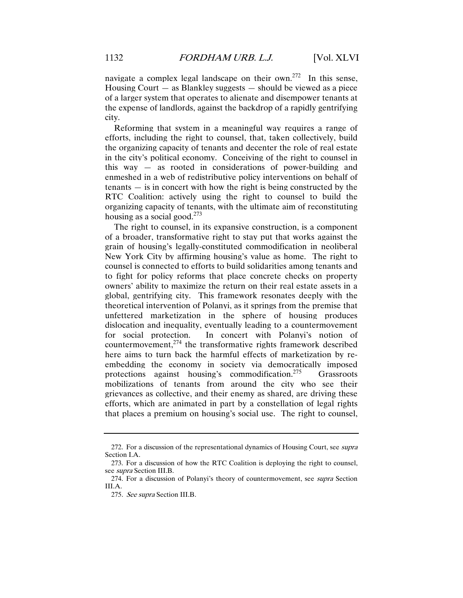navigate a complex legal landscape on their own.<sup>272</sup> In this sense, Housing Court — as Blankley suggests — should be viewed as a piece of a larger system that operates to alienate and disempower tenants at the expense of landlords, against the backdrop of a rapidly gentrifying city.

Reforming that system in a meaningful way requires a range of efforts, including the right to counsel, that, taken collectively, build the organizing capacity of tenants and decenter the role of real estate in the city's political economy. Conceiving of the right to counsel in this way — as rooted in considerations of power-building and enmeshed in a web of redistributive policy interventions on behalf of tenants — is in concert with how the right is being constructed by the RTC Coalition: actively using the right to counsel to build the organizing capacity of tenants, with the ultimate aim of reconstituting housing as a social good.<sup>273</sup>

The right to counsel, in its expansive construction, is a component of a broader, transformative right to stay put that works against the grain of housing's legally-constituted commodification in neoliberal New York City by affirming housing's value as home. The right to counsel is connected to efforts to build solidarities among tenants and to fight for policy reforms that place concrete checks on property owners' ability to maximize the return on their real estate assets in a global, gentrifying city. This framework resonates deeply with the theoretical intervention of Polanyi, as it springs from the premise that unfettered marketization in the sphere of housing produces dislocation and inequality, eventually leading to a countermovement for social protection. In concert with Polanyi's notion of countermovement, $274$  the transformative rights framework described here aims to turn back the harmful effects of marketization by reembedding the economy in society via democratically imposed protections against housing's commodification.275 Grassroots mobilizations of tenants from around the city who see their grievances as collective, and their enemy as shared, are driving these efforts, which are animated in part by a constellation of legal rights that places a premium on housing's social use. The right to counsel,

<sup>272.</sup> For a discussion of the representational dynamics of Housing Court, see supra Section I.A.

 <sup>273.</sup> For a discussion of how the RTC Coalition is deploying the right to counsel, see *supra* Section III.B.

 <sup>274.</sup> For a discussion of Polanyi's theory of countermovement, see supra Section III.A.

<sup>275</sup>. See supra Section III.B.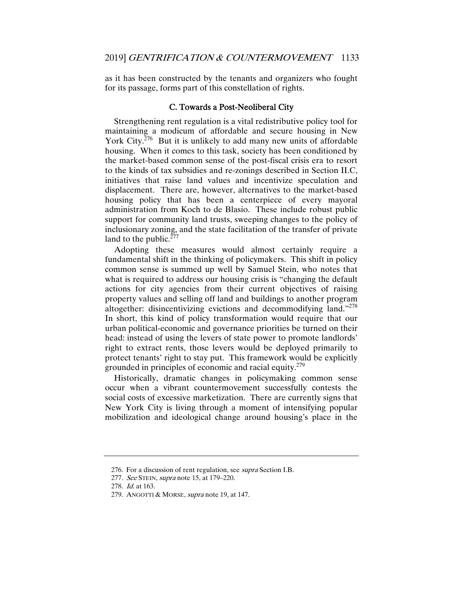as it has been constructed by the tenants and organizers who fought for its passage, forms part of this constellation of rights.

#### C. Towards a Post-Neoliberal City

Strengthening rent regulation is a vital redistributive policy tool for maintaining a modicum of affordable and secure housing in New York City. $276$  But it is unlikely to add many new units of affordable housing. When it comes to this task, society has been conditioned by the market-based common sense of the post-fiscal crisis era to resort to the kinds of tax subsidies and re-zonings described in Section II.C, initiatives that raise land values and incentivize speculation and displacement. There are, however, alternatives to the market-based housing policy that has been a centerpiece of every mayoral administration from Koch to de Blasio. These include robust public support for community land trusts, sweeping changes to the policy of inclusionary zoning, and the state facilitation of the transfer of private land to the public. $277$ 

Adopting these measures would almost certainly require a fundamental shift in the thinking of policymakers. This shift in policy common sense is summed up well by Samuel Stein, who notes that what is required to address our housing crisis is "changing the default actions for city agencies from their current objectives of raising property values and selling off land and buildings to another program altogether: disincentivizing evictions and decommodifying land."278 In short, this kind of policy transformation would require that our urban political-economic and governance priorities be turned on their head: instead of using the levers of state power to promote landlords' right to extract rents, those levers would be deployed primarily to protect tenants' right to stay put. This framework would be explicitly grounded in principles of economic and racial equity.<sup>279</sup>

Historically, dramatic changes in policymaking common sense occur when a vibrant countermovement successfully contests the social costs of excessive marketization. There are currently signs that New York City is living through a moment of intensifying popular mobilization and ideological change around housing's place in the

<sup>276.</sup> For a discussion of rent regulation, see *supra* Section I.B.

<sup>277.</sup> See STEIN, supra note 15, at 179-220.

<sup>278.</sup> *Id.* at 163.

<sup>279.</sup> ANGOTTI & MORSE, *supra* note 19, at 147.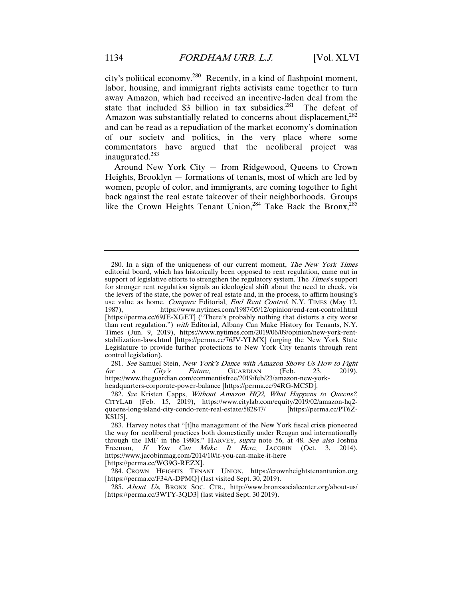city's political economy.<sup>280</sup> Recently, in a kind of flashpoint moment, labor, housing, and immigrant rights activists came together to turn away Amazon, which had received an incentive-laden deal from the state that included \$3 billion in tax subsidies. $^{281}$  The defeat of Amazon was substantially related to concerns about displacement.<sup>282</sup> and can be read as a repudiation of the market economy's domination of our society and politics, in the very place where some commentators have argued that the neoliberal project was inaugurated.<sup>283</sup>

Around New York City — from Ridgewood, Queens to Crown Heights, Brooklyn — formations of tenants, most of which are led by women, people of color, and immigrants, are coming together to fight back against the real estate takeover of their neighborhoods. Groups like the Crown Heights Tenant Union,<sup>284</sup> Take Back the Bronx,<sup>285</sup>

 284. CROWN HEIGHTS TENANT UNION, https://crownheightstenantunion.org [https://perma.cc/F34A-DPMQ] (last visited Sept. 30, 2019).

285. About Us, BRONX SOC. CTR., http://www.bronxsocialcenter.org/about-us/ [https://perma.cc/3WTY-3QD3] (last visited Sept. 30 2019).

<sup>280.</sup> In a sign of the uniqueness of our current moment, The New York Times editorial board, which has historically been opposed to rent regulation, came out in support of legislative efforts to strengthen the regulatory system. The *Times'*s support for stronger rent regulation signals an ideological shift about the need to check, via the levers of the state, the power of real estate and, in the process, to affirm housing's use value as home. Compare Editorial, End Rent Control, N.Y. TIMES (May 12, 1987), https://www.nytimes.com/1987/05/12/opinion/end-rent-control.html [https://perma.cc/69JE-XGET] ("There's probably nothing that distorts a city worse than rent regulation.") with Editorial, Albany Can Make History for Tenants, N.Y. Times (Jun. 9, 2019), https://www.nytimes.com/2019/06/09/opinion/new-york-rentstabilization-laws.html [https://perma.cc/76JV-YLMX] (urging the New York State Legislature to provide further protections to New York City tenants through rent control legislation).

<sup>281</sup>. See Samuel Stein, New York's Dance with Amazon Shows Us How to Fight for a City's Future, GUARDIAN (Feb. 23, 2019), https://www.theguardian.com/commentisfree/2019/feb/23/amazon-new-yorkheadquarters-corporate-power-balance [https://perma.cc/94RG-MC5D].

<sup>282</sup>. See Kristen Capps, Without Amazon HQ2, What Happens to Queens?, CITYLAB (Feb. 15, 2019), https://www.citylab.com/equity/2019/02/amazon-hq2-<br>queens-long-island-city-condo-rent-real-estate/582847/ [https://perma.cc/PT6Zqueens-long-island-city-condo-rent-real-estate/582847/ KSU5].

 <sup>283.</sup> Harvey notes that "[t]he management of the New York fiscal crisis pioneered the way for neoliberal practices both domestically under Reagan and internationally through the IMF in the 1980s." HARVEY, supra note 56, at 48. See also Joshua Freeman, If You Can Make It Here, JACOBIN (Oct. 3, 2014), https://www.jacobinmag.com/2014/10/if-you-can-make-it-here [https://perma.cc/WG9G-REZX].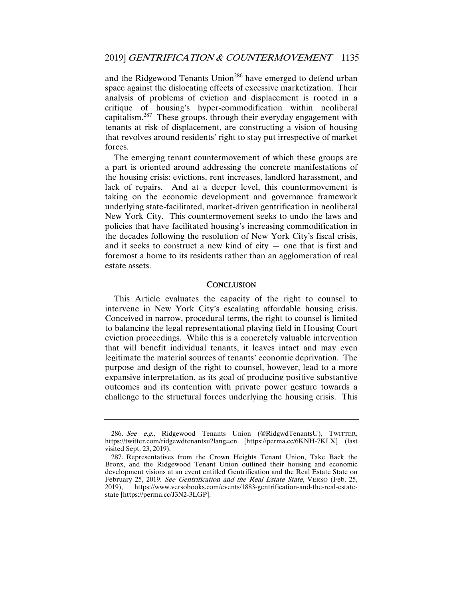and the Ridgewood Tenants Union<sup>286</sup> have emerged to defend urban space against the dislocating effects of excessive marketization. Their analysis of problems of eviction and displacement is rooted in a critique of housing's hyper-commodification within neoliberal capitalism.287 These groups, through their everyday engagement with tenants at risk of displacement, are constructing a vision of housing that revolves around residents' right to stay put irrespective of market forces.

The emerging tenant countermovement of which these groups are a part is oriented around addressing the concrete manifestations of the housing crisis: evictions, rent increases, landlord harassment, and lack of repairs. And at a deeper level, this countermovement is taking on the economic development and governance framework underlying state-facilitated, market-driven gentrification in neoliberal New York City. This countermovement seeks to undo the laws and policies that have facilitated housing's increasing commodification in the decades following the resolution of New York City's fiscal crisis, and it seeks to construct a new kind of city  $-$  one that is first and foremost a home to its residents rather than an agglomeration of real estate assets.

#### **CONCLUSION**

This Article evaluates the capacity of the right to counsel to intervene in New York City's escalating affordable housing crisis. Conceived in narrow, procedural terms, the right to counsel is limited to balancing the legal representational playing field in Housing Court eviction proceedings. While this is a concretely valuable intervention that will benefit individual tenants, it leaves intact and may even legitimate the material sources of tenants' economic deprivation. The purpose and design of the right to counsel, however, lead to a more expansive interpretation, as its goal of producing positive substantive outcomes and its contention with private power gesture towards a challenge to the structural forces underlying the housing crisis. This

<sup>286</sup>. See e.g., Ridgewood Tenants Union (@RidgwdTenantsU), TWITTER, https://twitter.com/ridgewdtenantsu?lang=en [https://perma.cc/6KNH-7KLX] (last visited Sept. 23, 2019).

 <sup>287.</sup> Representatives from the Crown Heights Tenant Union, Take Back the Bronx, and the Ridgewood Tenant Union outlined their housing and economic development visions at an event entitled Gentrification and the Real Estate State on February 25, 2019. See Gentrification and the Real Estate State, VERSO (Feb. 25, 2019), https://www.versobooks.com/events/1883-gentrification-and-the-real-estatestate [https://perma.cc/J3N2-3LGP].